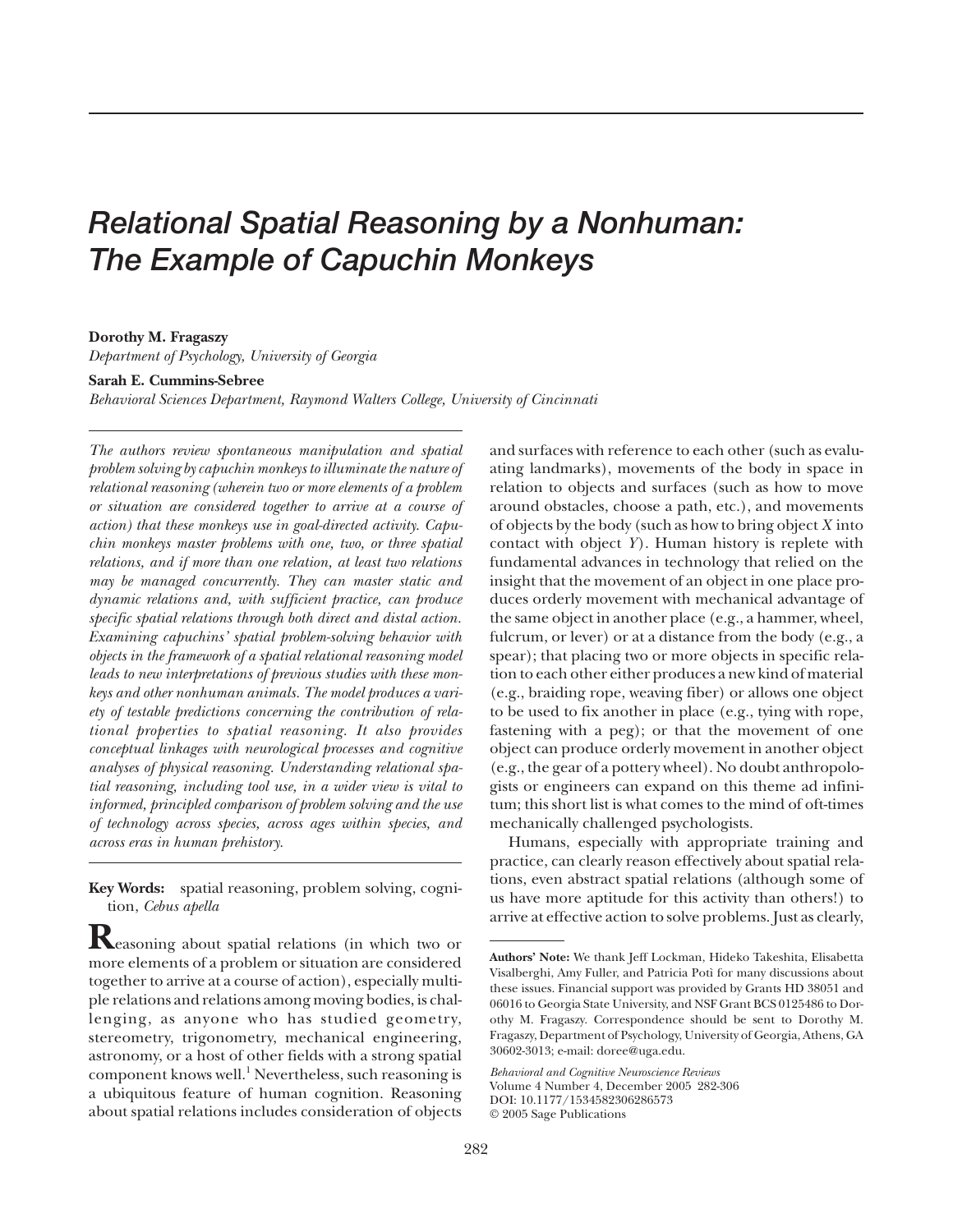# *Relational Spatial Reasoning by a Nonhuman: The Example of Capuchin Monkeys*

#### **Dorothy M. Fragaszy**

Fragaszy, Cummins-Sebree / RELATIONAL SPATIAL REASONING

*Department of Psychology, University of Georgia*

#### **Sarah E. Cummins-Sebree**

*Behavioral Sciences Department, Raymond Walters College, University of Cincinnati*

*The authors review spontaneous manipulation and spatial problem solving by capuchin monkeys to illuminate the nature of relational reasoning (wherein two or more elements of a problem or situation are considered together to arrive at a course of action) that these monkeys use in goal-directed activity. Capuchin monkeys master problems with one, two, or three spatial relations, and if more than one relation, at least two relations may be managed concurrently. They can master static and dynamic relations and, with sufficient practice, can produce specific spatial relations through both direct and distal action. Examining capuchins' spatial problem-solving behavior with objects in the framework of a spatial relational reasoning model leads to new interpretations of previous studies with these monkeys and other nonhuman animals. The model produces a variety of testable predictions concerning the contribution of relational properties to spatial reasoning. It also provides conceptual linkages with neurological processes and cognitive analyses of physical reasoning. Understanding relational spatial reasoning, including tool use, in a wider view is vital to informed, principled comparison of problem solving and the use of technology across species, across ages within species, and across eras in human prehistory.*

**Key Words:** spatial reasoning, problem solving, cognition, *Cebus apella*

**R**easoning about spatial relations (in which two or more elements of a problem or situation are considered together to arrive at a course of action), especially multiple relations and relations among moving bodies, is challenging, as anyone who has studied geometry, stereometry, trigonometry, mechanical engineering, astronomy, or a host of other fields with a strong spatial component knows well.<sup>1</sup> Nevertheless, such reasoning is a ubiquitous feature of human cognition. Reasoning about spatial relations includes consideration of objects

and surfaces with reference to each other (such as evaluating landmarks), movements of the body in space in relation to objects and surfaces (such as how to move around obstacles, choose a path, etc.), and movements of objects by the body (such as how to bring object *X* into contact with object *Y*). Human history is replete with fundamental advances in technology that relied on the insight that the movement of an object in one place produces orderly movement with mechanical advantage of the same object in another place (e.g., a hammer, wheel, fulcrum, or lever) or at a distance from the body (e.g., a spear); that placing two or more objects in specific relation to each other either produces a new kind of material (e.g., braiding rope, weaving fiber) or allows one object to be used to fix another in place (e.g., tying with rope, fastening with a peg); or that the movement of one object can produce orderly movement in another object (e.g., the gear of a pottery wheel). No doubt anthropologists or engineers can expand on this theme ad infinitum; this short list is what comes to the mind of oft-times mechanically challenged psychologists.

Humans, especially with appropriate training and practice, can clearly reason effectively about spatial relations, even abstract spatial relations (although some of us have more aptitude for this activity than others!) to arrive at effective action to solve problems. Just as clearly,

**Authors' Note:** We thank Jeff Lockman, Hideko Takeshita, Elisabetta Visalberghi, Amy Fuller, and Patricia Potì for many discussions about these issues. Financial support was provided by Grants HD 38051 and 06016 to Georgia State University, and NSF Grant BCS 0125486 to Dorothy M. Fragaszy. Correspondence should be sent to Dorothy M. Fragaszy, Department of Psychology, University of Georgia, Athens, GA 30602-3013; e-mail: doree@uga.edu.

*Behavioral and Cognitive Neuroscience Reviews* Volume 4 Number 4, December 2005 282-306 DOI: 10.1177/1534582306286573 © 2005 Sage Publications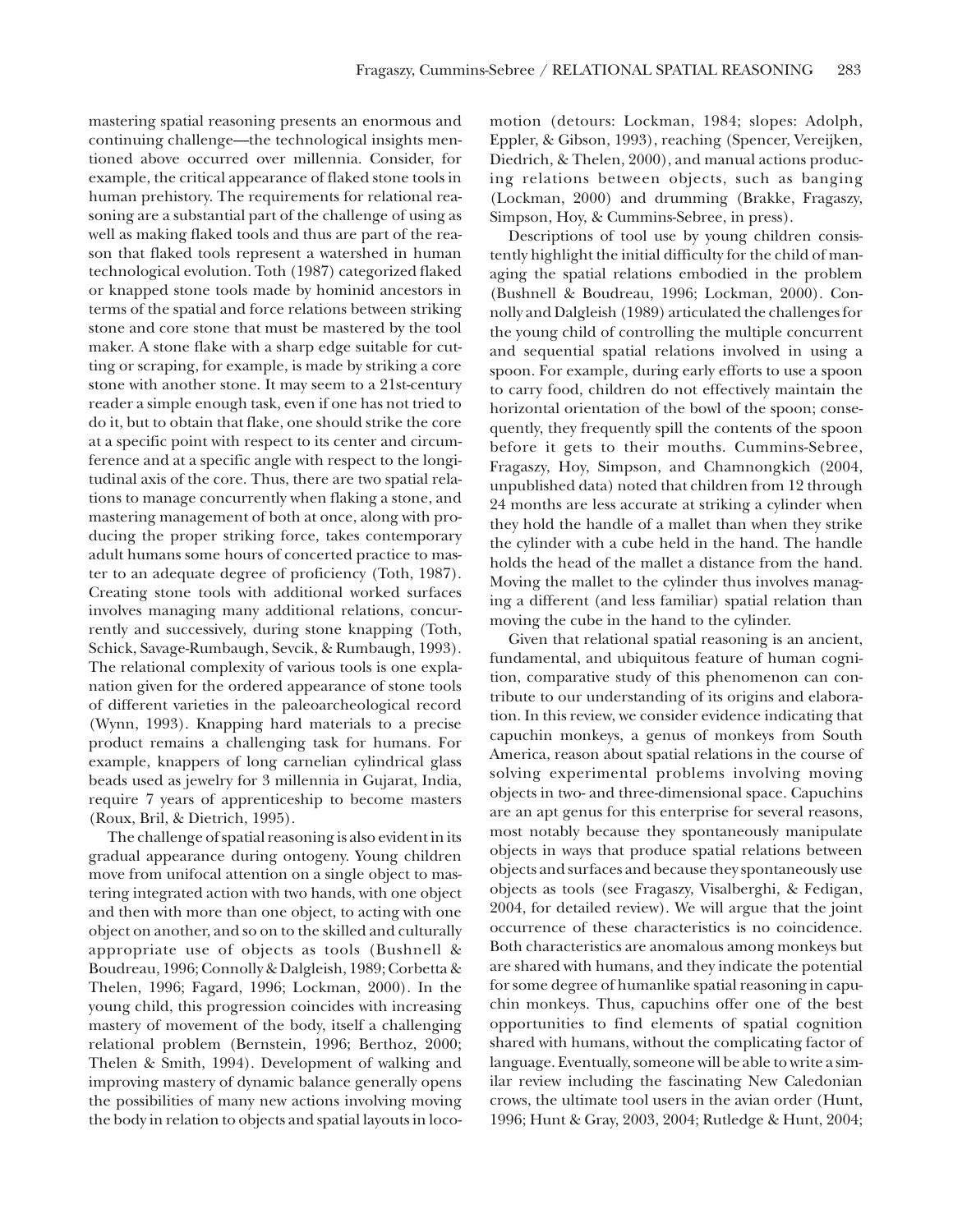mastering spatial reasoning presents an enormous and continuing challenge—the technological insights mentioned above occurred over millennia. Consider, for example, the critical appearance of flaked stone tools in human prehistory. The requirements for relational reasoning are a substantial part of the challenge of using as well as making flaked tools and thus are part of the reason that flaked tools represent a watershed in human technological evolution. Toth (1987) categorized flaked or knapped stone tools made by hominid ancestors in terms of the spatial and force relations between striking stone and core stone that must be mastered by the tool maker. A stone flake with a sharp edge suitable for cutting or scraping, for example, is made by striking a core stone with another stone. It may seem to a 21st-century reader a simple enough task, even if one has not tried to do it, but to obtain that flake, one should strike the core at a specific point with respect to its center and circumference and at a specific angle with respect to the longitudinal axis of the core. Thus, there are two spatial relations to manage concurrently when flaking a stone, and mastering management of both at once, along with producing the proper striking force, takes contemporary adult humans some hours of concerted practice to master to an adequate degree of proficiency (Toth, 1987). Creating stone tools with additional worked surfaces involves managing many additional relations, concurrently and successively, during stone knapping (Toth, Schick, Savage-Rumbaugh, Sevcik, & Rumbaugh, 1993). The relational complexity of various tools is one explanation given for the ordered appearance of stone tools of different varieties in the paleoarcheological record (Wynn, 1993). Knapping hard materials to a precise product remains a challenging task for humans. For example, knappers of long carnelian cylindrical glass beads used as jewelry for 3 millennia in Gujarat, India, require 7 years of apprenticeship to become masters (Roux, Bril, & Dietrich, 1995).

The challenge of spatial reasoning is also evident in its gradual appearance during ontogeny. Young children move from unifocal attention on a single object to mastering integrated action with two hands, with one object and then with more than one object, to acting with one object on another, and so on to the skilled and culturally appropriate use of objects as tools (Bushnell & Boudreau, 1996; Connolly & Dalgleish, 1989; Corbetta & Thelen, 1996; Fagard, 1996; Lockman, 2000). In the young child, this progression coincides with increasing mastery of movement of the body, itself a challenging relational problem (Bernstein, 1996; Berthoz, 2000; Thelen & Smith, 1994). Development of walking and improving mastery of dynamic balance generally opens the possibilities of many new actions involving moving the body in relation to objects and spatial layouts in locomotion (detours: Lockman, 1984; slopes: Adolph, Eppler, & Gibson, 1993), reaching (Spencer, Vereijken, Diedrich, & Thelen, 2000), and manual actions producing relations between objects, such as banging (Lockman, 2000) and drumming (Brakke, Fragaszy, Simpson, Hoy, & Cummins-Sebree, in press).

Descriptions of tool use by young children consistently highlight the initial difficulty for the child of managing the spatial relations embodied in the problem (Bushnell & Boudreau, 1996; Lockman, 2000). Connolly and Dalgleish (1989) articulated the challenges for the young child of controlling the multiple concurrent and sequential spatial relations involved in using a spoon. For example, during early efforts to use a spoon to carry food, children do not effectively maintain the horizontal orientation of the bowl of the spoon; consequently, they frequently spill the contents of the spoon before it gets to their mouths. Cummins-Sebree, Fragaszy, Hoy, Simpson, and Chamnongkich (2004, unpublished data) noted that children from 12 through 24 months are less accurate at striking a cylinder when they hold the handle of a mallet than when they strike the cylinder with a cube held in the hand. The handle holds the head of the mallet a distance from the hand. Moving the mallet to the cylinder thus involves managing a different (and less familiar) spatial relation than moving the cube in the hand to the cylinder.

Given that relational spatial reasoning is an ancient, fundamental, and ubiquitous feature of human cognition, comparative study of this phenomenon can contribute to our understanding of its origins and elaboration. In this review, we consider evidence indicating that capuchin monkeys, a genus of monkeys from South America, reason about spatial relations in the course of solving experimental problems involving moving objects in two- and three-dimensional space. Capuchins are an apt genus for this enterprise for several reasons, most notably because they spontaneously manipulate objects in ways that produce spatial relations between objects and surfaces and because they spontaneously use objects as tools (see Fragaszy, Visalberghi, & Fedigan, 2004, for detailed review). We will argue that the joint occurrence of these characteristics is no coincidence. Both characteristics are anomalous among monkeys but are shared with humans, and they indicate the potential for some degree of humanlike spatial reasoning in capuchin monkeys. Thus, capuchins offer one of the best opportunities to find elements of spatial cognition shared with humans, without the complicating factor of language. Eventually, someone will be able to write a similar review including the fascinating New Caledonian crows, the ultimate tool users in the avian order (Hunt, 1996; Hunt & Gray, 2003, 2004; Rutledge & Hunt, 2004;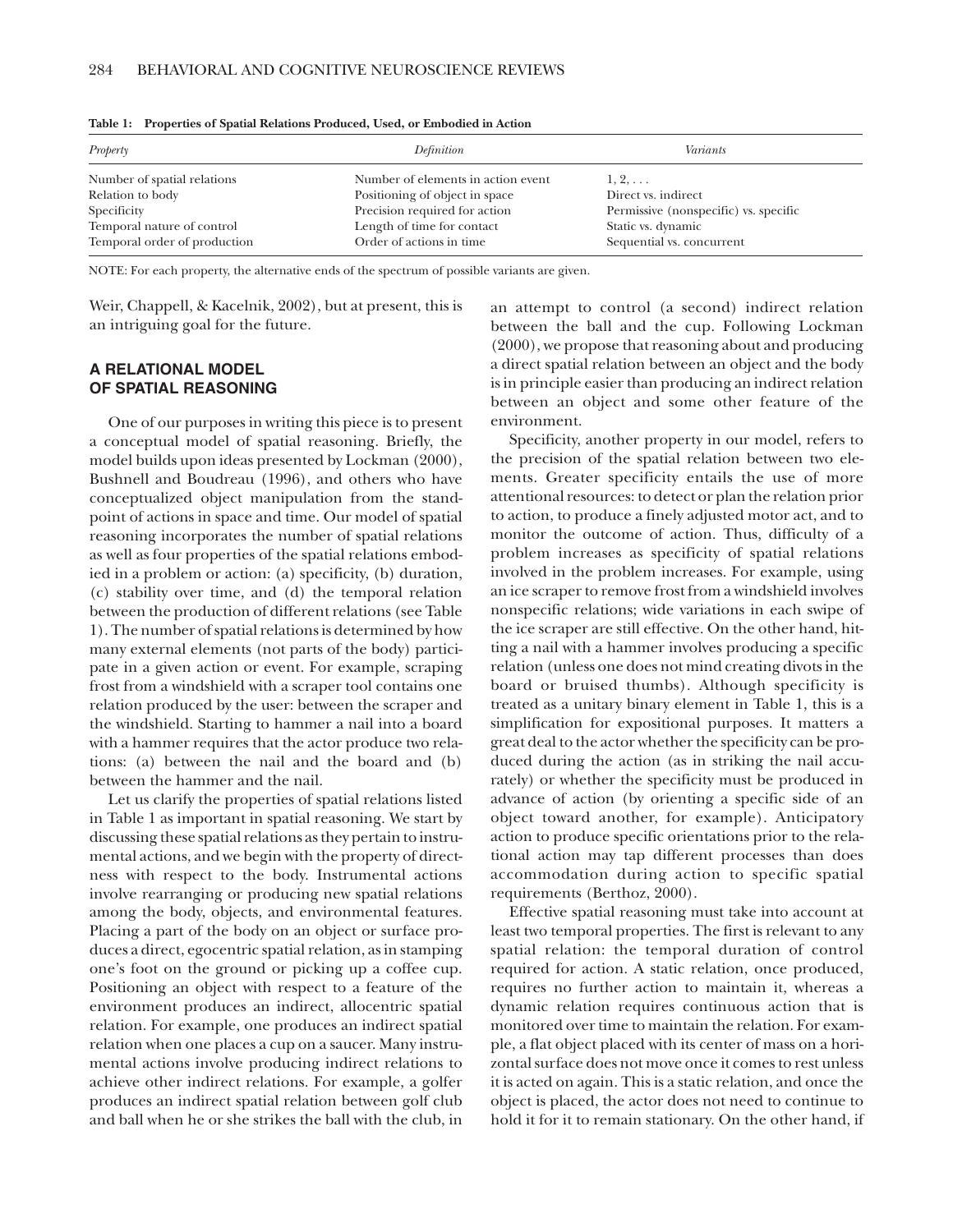| Property                     | Definition                         | Variants                              |  |  |
|------------------------------|------------------------------------|---------------------------------------|--|--|
| Number of spatial relations  | Number of elements in action event | $1, 2, \ldots$                        |  |  |
| Relation to body             | Positioning of object in space     | Direct vs. indirect                   |  |  |
| Specificity                  | Precision required for action      | Permissive (nonspecific) vs. specific |  |  |
| Temporal nature of control   | Length of time for contact         | Static vs. dynamic                    |  |  |
| Temporal order of production | Order of actions in time           | Sequential vs. concurrent             |  |  |

**Table 1: Properties of Spatial Relations Produced, Used, or Embodied in Action**

NOTE: For each property, the alternative ends of the spectrum of possible variants are given.

Weir, Chappell, & Kacelnik, 2002), but at present, this is an intriguing goal for the future.

## **A RELATIONAL MODEL OF SPATIAL REASONING**

One of our purposes in writing this piece is to present a conceptual model of spatial reasoning. Briefly, the model builds upon ideas presented by Lockman (2000), Bushnell and Boudreau (1996), and others who have conceptualized object manipulation from the standpoint of actions in space and time. Our model of spatial reasoning incorporates the number of spatial relations as well as four properties of the spatial relations embodied in a problem or action: (a) specificity, (b) duration, (c) stability over time, and (d) the temporal relation between the production of different relations (see Table 1). The number of spatial relations is determined by how many external elements (not parts of the body) participate in a given action or event. For example, scraping frost from a windshield with a scraper tool contains one relation produced by the user: between the scraper and the windshield. Starting to hammer a nail into a board with a hammer requires that the actor produce two relations: (a) between the nail and the board and (b) between the hammer and the nail.

Let us clarify the properties of spatial relations listed in Table 1 as important in spatial reasoning. We start by discussing these spatial relations as they pertain to instrumental actions, and we begin with the property of directness with respect to the body. Instrumental actions involve rearranging or producing new spatial relations among the body, objects, and environmental features. Placing a part of the body on an object or surface produces a direct, egocentric spatial relation, as in stamping one's foot on the ground or picking up a coffee cup. Positioning an object with respect to a feature of the environment produces an indirect, allocentric spatial relation. For example, one produces an indirect spatial relation when one places a cup on a saucer. Many instrumental actions involve producing indirect relations to achieve other indirect relations. For example, a golfer produces an indirect spatial relation between golf club and ball when he or she strikes the ball with the club, in

an attempt to control (a second) indirect relation between the ball and the cup. Following Lockman (2000), we propose that reasoning about and producing a direct spatial relation between an object and the body is in principle easier than producing an indirect relation between an object and some other feature of the environment.

Specificity, another property in our model, refers to the precision of the spatial relation between two elements. Greater specificity entails the use of more attentional resources: to detect or plan the relation prior to action, to produce a finely adjusted motor act, and to monitor the outcome of action. Thus, difficulty of a problem increases as specificity of spatial relations involved in the problem increases. For example, using an ice scraper to remove frost from a windshield involves nonspecific relations; wide variations in each swipe of the ice scraper are still effective. On the other hand, hitting a nail with a hammer involves producing a specific relation (unless one does not mind creating divots in the board or bruised thumbs). Although specificity is treated as a unitary binary element in Table 1, this is a simplification for expositional purposes. It matters a great deal to the actor whether the specificity can be produced during the action (as in striking the nail accurately) or whether the specificity must be produced in advance of action (by orienting a specific side of an object toward another, for example). Anticipatory action to produce specific orientations prior to the relational action may tap different processes than does accommodation during action to specific spatial requirements (Berthoz, 2000).

Effective spatial reasoning must take into account at least two temporal properties. The first is relevant to any spatial relation: the temporal duration of control required for action. A static relation, once produced, requires no further action to maintain it, whereas a dynamic relation requires continuous action that is monitored over time to maintain the relation. For example, a flat object placed with its center of mass on a horizontal surface does not move once it comes to rest unless it is acted on again. This is a static relation, and once the object is placed, the actor does not need to continue to hold it for it to remain stationary. On the other hand, if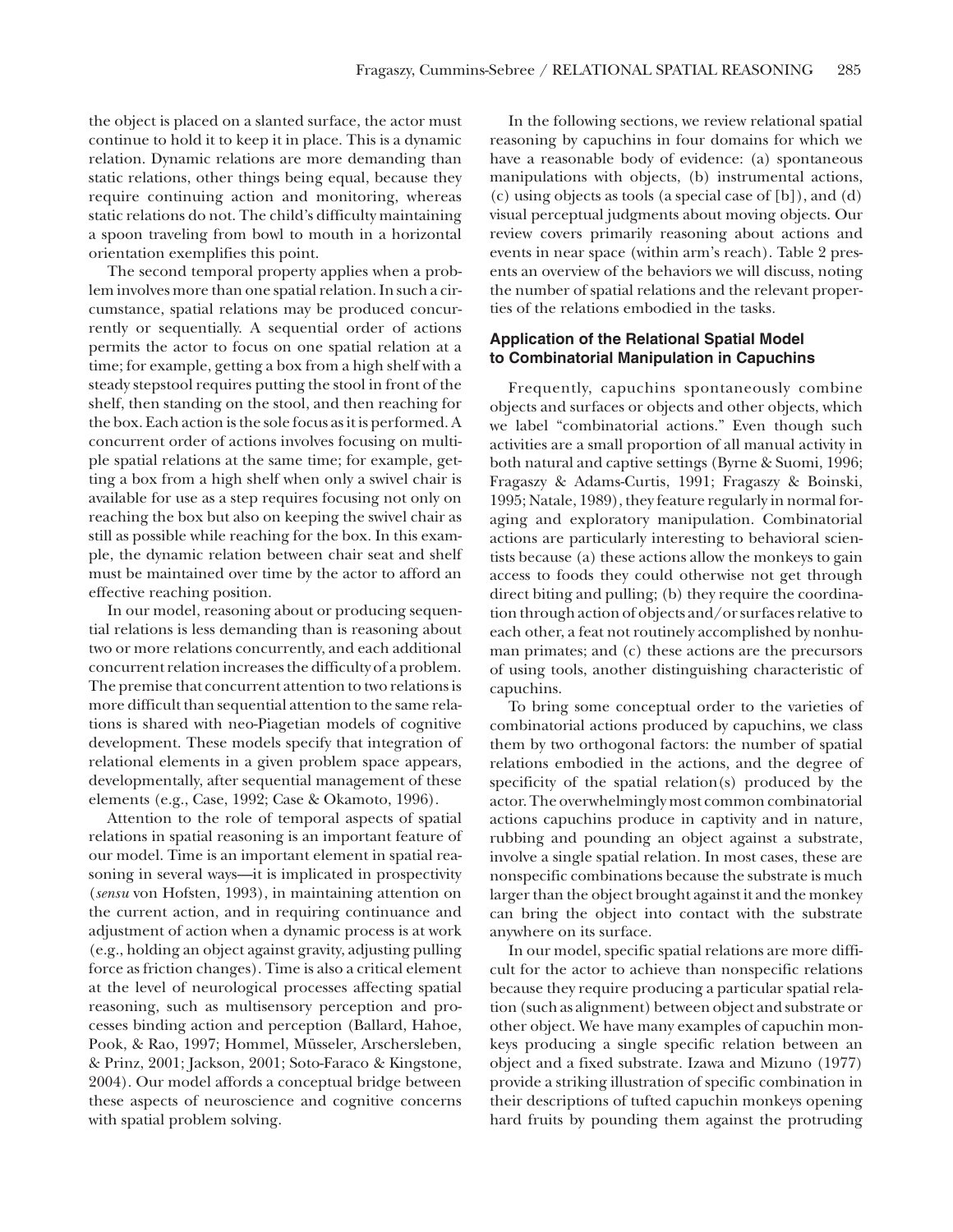the object is placed on a slanted surface, the actor must continue to hold it to keep it in place. This is a dynamic relation. Dynamic relations are more demanding than static relations, other things being equal, because they require continuing action and monitoring, whereas static relations do not. The child's difficulty maintaining a spoon traveling from bowl to mouth in a horizontal orientation exemplifies this point.

The second temporal property applies when a problem involves more than one spatial relation. In such a circumstance, spatial relations may be produced concurrently or sequentially. A sequential order of actions permits the actor to focus on one spatial relation at a time; for example, getting a box from a high shelf with a steady stepstool requires putting the stool in front of the shelf, then standing on the stool, and then reaching for the box. Each action is the sole focus as it is performed. A concurrent order of actions involves focusing on multiple spatial relations at the same time; for example, getting a box from a high shelf when only a swivel chair is available for use as a step requires focusing not only on reaching the box but also on keeping the swivel chair as still as possible while reaching for the box. In this example, the dynamic relation between chair seat and shelf must be maintained over time by the actor to afford an effective reaching position.

In our model, reasoning about or producing sequential relations is less demanding than is reasoning about two or more relations concurrently, and each additional concurrent relation increases the difficulty of a problem. The premise that concurrent attention to two relations is more difficult than sequential attention to the same relations is shared with neo-Piagetian models of cognitive development. These models specify that integration of relational elements in a given problem space appears, developmentally, after sequential management of these elements (e.g., Case, 1992; Case & Okamoto, 1996).

Attention to the role of temporal aspects of spatial relations in spatial reasoning is an important feature of our model. Time is an important element in spatial reasoning in several ways—it is implicated in prospectivity (*sensu* von Hofsten, 1993), in maintaining attention on the current action, and in requiring continuance and adjustment of action when a dynamic process is at work (e.g., holding an object against gravity, adjusting pulling force as friction changes). Time is also a critical element at the level of neurological processes affecting spatial reasoning, such as multisensory perception and processes binding action and perception (Ballard, Hahoe, Pook, & Rao, 1997; Hommel, Müsseler, Arschersleben, & Prinz, 2001; Jackson, 2001; Soto-Faraco & Kingstone, 2004). Our model affords a conceptual bridge between these aspects of neuroscience and cognitive concerns with spatial problem solving.

In the following sections, we review relational spatial reasoning by capuchins in four domains for which we have a reasonable body of evidence: (a) spontaneous manipulations with objects, (b) instrumental actions, (c) using objects as tools (a special case of [b]), and (d) visual perceptual judgments about moving objects. Our review covers primarily reasoning about actions and events in near space (within arm's reach). Table 2 presents an overview of the behaviors we will discuss, noting the number of spatial relations and the relevant properties of the relations embodied in the tasks.

## **Application of the Relational Spatial Model to Combinatorial Manipulation in Capuchins**

Frequently, capuchins spontaneously combine objects and surfaces or objects and other objects, which we label "combinatorial actions." Even though such activities are a small proportion of all manual activity in both natural and captive settings (Byrne & Suomi, 1996; Fragaszy & Adams-Curtis, 1991; Fragaszy & Boinski, 1995; Natale, 1989), they feature regularly in normal foraging and exploratory manipulation. Combinatorial actions are particularly interesting to behavioral scientists because (a) these actions allow the monkeys to gain access to foods they could otherwise not get through direct biting and pulling; (b) they require the coordination through action of objects and/or surfaces relative to each other, a feat not routinely accomplished by nonhuman primates; and (c) these actions are the precursors of using tools, another distinguishing characteristic of capuchins.

To bring some conceptual order to the varieties of combinatorial actions produced by capuchins, we class them by two orthogonal factors: the number of spatial relations embodied in the actions, and the degree of specificity of the spatial relation(s) produced by the actor. The overwhelmingly most common combinatorial actions capuchins produce in captivity and in nature, rubbing and pounding an object against a substrate, involve a single spatial relation. In most cases, these are nonspecific combinations because the substrate is much larger than the object brought against it and the monkey can bring the object into contact with the substrate anywhere on its surface.

In our model, specific spatial relations are more difficult for the actor to achieve than nonspecific relations because they require producing a particular spatial relation (such as alignment) between object and substrate or other object. We have many examples of capuchin monkeys producing a single specific relation between an object and a fixed substrate. Izawa and Mizuno (1977) provide a striking illustration of specific combination in their descriptions of tufted capuchin monkeys opening hard fruits by pounding them against the protruding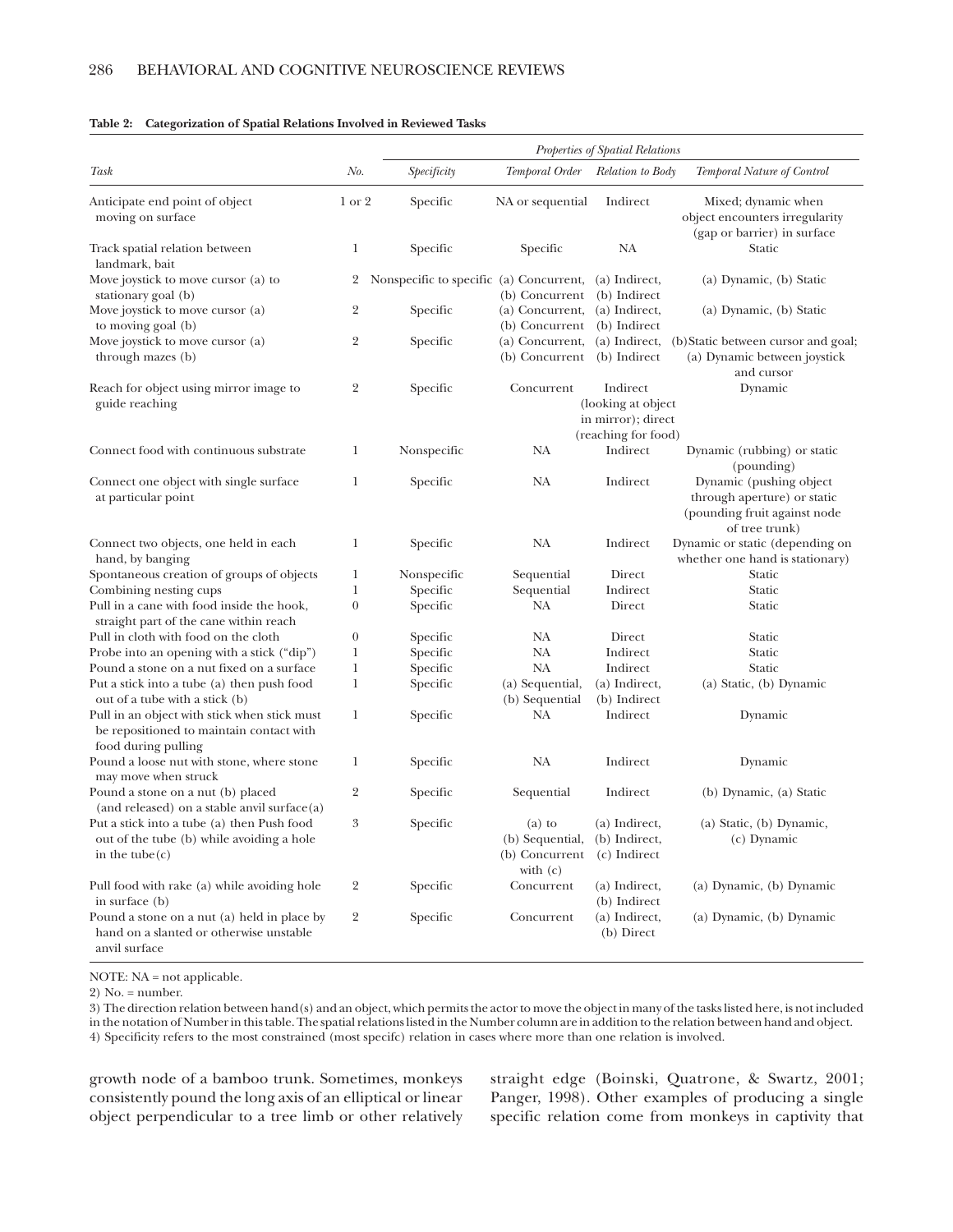|                                                                                                                 |                  | Properties of Spatial Relations         |                                                                           |                               |                                                                                                          |
|-----------------------------------------------------------------------------------------------------------------|------------------|-----------------------------------------|---------------------------------------------------------------------------|-------------------------------|----------------------------------------------------------------------------------------------------------|
| Task                                                                                                            | No.              | Specificity                             | Temporal Order                                                            | Relation to Body              | Temporal Nature of Control                                                                               |
| Anticipate end point of object<br>moving on surface                                                             | 1 or 2           | Specific                                | NA or sequential                                                          | Indirect                      | Mixed; dynamic when<br>object encounters irregularity<br>(gap or barrier) in surface                     |
| Track spatial relation between<br>landmark, bait                                                                | 1                | Specific                                | Specific                                                                  | NA                            | Static                                                                                                   |
| Move joystick to move cursor (a) to<br>stationary goal (b)                                                      | 2                | Nonspecific to specific (a) Concurrent, | (b) Concurrent                                                            | (a) Indirect,<br>(b) Indirect | (a) Dynamic, (b) Static                                                                                  |
| Move joystick to move cursor (a)<br>to moving goal (b)                                                          | $\overline{2}$   | Specific                                | (a) Concurrent,<br>(b) Concurrent                                         | (a) Indirect,<br>(b) Indirect | (a) Dynamic, (b) Static                                                                                  |
| Move joystick to move cursor (a)<br>through mazes (b)                                                           | $\overline{2}$   | Specific                                | (a) Concurrent,<br>(b) Concurrent                                         | (a) Indirect,<br>(b) Indirect | (b) Static between cursor and goal;<br>(a) Dynamic between joystick<br>and cursor                        |
| Reach for object using mirror image to                                                                          | $\overline{2}$   | Specific                                | Concurrent                                                                | Indirect                      | Dynamic                                                                                                  |
| (looking at object<br>guide reaching<br>in mirror); direct<br>(reaching for food)                               |                  |                                         |                                                                           |                               |                                                                                                          |
| Connect food with continuous substrate                                                                          | 1                | Nonspecific                             | NA                                                                        | Indirect                      | Dynamic (rubbing) or static<br>(pounding)                                                                |
| Connect one object with single surface<br>at particular point                                                   | 1                | Specific                                | NA                                                                        | Indirect                      | Dynamic (pushing object<br>through aperture) or static<br>(pounding fruit against node<br>of tree trunk) |
| Connect two objects, one held in each<br>hand, by banging                                                       | 1                | Specific                                | NA                                                                        | Indirect                      | Dynamic or static (depending on<br>whether one hand is stationary)                                       |
| Spontaneous creation of groups of objects                                                                       | 1                | Nonspecific                             | Sequential                                                                | Direct                        | Static                                                                                                   |
| Combining nesting cups                                                                                          | 1                | Specific                                | Sequential                                                                | Indirect                      | Static                                                                                                   |
| Pull in a cane with food inside the hook,<br>straight part of the cane within reach                             | $\theta$         | Specific                                | NA                                                                        | Direct                        | Static                                                                                                   |
| Pull in cloth with food on the cloth                                                                            | $\boldsymbol{0}$ | Specific                                | NA                                                                        | Direct                        | Static                                                                                                   |
| Probe into an opening with a stick ("dip")                                                                      | 1                | Specific                                | NA                                                                        | Indirect                      | Static                                                                                                   |
| Pound a stone on a nut fixed on a surface                                                                       | 1                | Specific                                | NA                                                                        | Indirect                      | Static                                                                                                   |
| Put a stick into a tube (a) then push food<br>out of a tube with a stick (b)                                    | $\mathbf{1}$     | Specific                                | (a) Sequential,<br>(b) Sequential                                         | (a) Indirect,<br>(b) Indirect | (a) Static, (b) Dynamic                                                                                  |
| Pull in an object with stick when stick must<br>be repositioned to maintain contact with<br>food during pulling | 1                | Specific                                | NA                                                                        | Indirect                      | Dynamic                                                                                                  |
| Pound a loose nut with stone, where stone<br>may move when struck                                               | 1                | Specific                                | NA                                                                        | Indirect                      | Dynamic                                                                                                  |
| Pound a stone on a nut (b) placed<br>$(and released)$ on a stable anvil surface $(a)$                           | $\overline{2}$   | Specific                                | Sequential                                                                | Indirect                      | (b) Dynamic, (a) Static                                                                                  |
| Put a stick into a tube (a) then Push food<br>out of the tube (b) while avoiding a hole<br>in the tube $(c)$    | 3                | Specific                                | $(a)$ to<br>(b) Sequential, (b) Indirect,<br>(b) Concurrent<br>with $(c)$ | (a) Indirect,<br>(c) Indirect | (a) Static, (b) Dynamic,<br>(c) Dynamic                                                                  |
| Pull food with rake (a) while avoiding hole<br>in surface (b)                                                   | $\sqrt{2}$       | Specific                                | Concurrent                                                                | (a) Indirect,<br>(b) Indirect | (a) Dynamic, (b) Dynamic                                                                                 |
| Pound a stone on a nut (a) held in place by<br>hand on a slanted or otherwise unstable<br>anvil surface         | $\sqrt{2}$       | Specific                                | Concurrent                                                                | (a) Indirect,<br>(b) Direct   | (a) Dynamic, (b) Dynamic                                                                                 |

#### **Table 2: Categorization of Spatial Relations Involved in Reviewed Tasks**

NOTE: NA = not applicable.

2) No. = number.

3) The direction relation between hand(s) and an object, which permits the actor to move the object in many of the tasks listed here, is not included in the notation of Number in this table. The spatial relations listed in the Number column are in addition to the relation between hand and object. 4) Specificity refers to the most constrained (most specifc) relation in cases where more than one relation is involved.

growth node of a bamboo trunk. Sometimes, monkeys consistently pound the long axis of an elliptical or linear object perpendicular to a tree limb or other relatively straight edge (Boinski, Quatrone, & Swartz, 2001; Panger, 1998). Other examples of producing a single specific relation come from monkeys in captivity that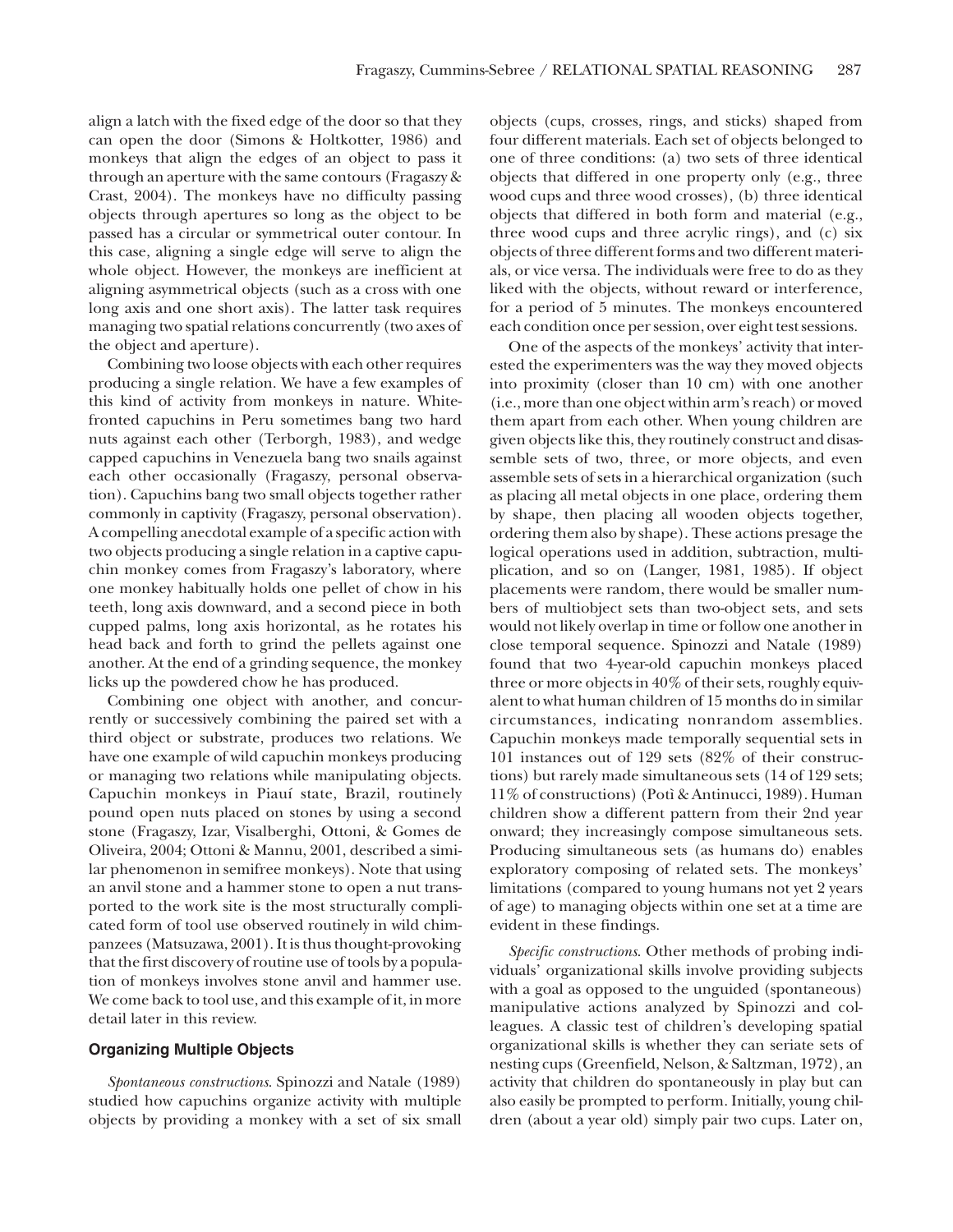align a latch with the fixed edge of the door so that they can open the door (Simons & Holtkotter, 1986) and monkeys that align the edges of an object to pass it through an aperture with the same contours (Fragaszy & Crast, 2004). The monkeys have no difficulty passing objects through apertures so long as the object to be passed has a circular or symmetrical outer contour. In this case, aligning a single edge will serve to align the whole object. However, the monkeys are inefficient at aligning asymmetrical objects (such as a cross with one long axis and one short axis). The latter task requires managing two spatial relations concurrently (two axes of the object and aperture).

Combining two loose objects with each other requires producing a single relation. We have a few examples of this kind of activity from monkeys in nature. Whitefronted capuchins in Peru sometimes bang two hard nuts against each other (Terborgh, 1983), and wedge capped capuchins in Venezuela bang two snails against each other occasionally (Fragaszy, personal observation). Capuchins bang two small objects together rather commonly in captivity (Fragaszy, personal observation). A compelling anecdotal example of a specific action with two objects producing a single relation in a captive capuchin monkey comes from Fragaszy's laboratory, where one monkey habitually holds one pellet of chow in his teeth, long axis downward, and a second piece in both cupped palms, long axis horizontal, as he rotates his head back and forth to grind the pellets against one another. At the end of a grinding sequence, the monkey licks up the powdered chow he has produced.

Combining one object with another, and concurrently or successively combining the paired set with a third object or substrate, produces two relations. We have one example of wild capuchin monkeys producing or managing two relations while manipulating objects. Capuchin monkeys in Piauí state, Brazil, routinely pound open nuts placed on stones by using a second stone (Fragaszy, Izar, Visalberghi, Ottoni, & Gomes de Oliveira, 2004; Ottoni & Mannu, 2001, described a similar phenomenon in semifree monkeys). Note that using an anvil stone and a hammer stone to open a nut transported to the work site is the most structurally complicated form of tool use observed routinely in wild chimpanzees (Matsuzawa, 2001). It is thus thought-provoking that the first discovery of routine use of tools by a population of monkeys involves stone anvil and hammer use. We come back to tool use, and this example of it, in more detail later in this review.

## **Organizing Multiple Objects**

*Spontaneous constructions*. Spinozzi and Natale (1989) studied how capuchins organize activity with multiple objects by providing a monkey with a set of six small objects (cups, crosses, rings, and sticks) shaped from four different materials. Each set of objects belonged to one of three conditions: (a) two sets of three identical objects that differed in one property only (e.g., three wood cups and three wood crosses), (b) three identical objects that differed in both form and material (e.g., three wood cups and three acrylic rings), and (c) six objects of three different forms and two different materials, or vice versa. The individuals were free to do as they liked with the objects, without reward or interference, for a period of 5 minutes. The monkeys encountered each condition once per session, over eight test sessions.

One of the aspects of the monkeys' activity that interested the experimenters was the way they moved objects into proximity (closer than 10 cm) with one another (i.e., more than one object within arm's reach) or moved them apart from each other. When young children are given objects like this, they routinely construct and disassemble sets of two, three, or more objects, and even assemble sets of sets in a hierarchical organization (such as placing all metal objects in one place, ordering them by shape, then placing all wooden objects together, ordering them also by shape). These actions presage the logical operations used in addition, subtraction, multiplication, and so on (Langer, 1981, 1985). If object placements were random, there would be smaller numbers of multiobject sets than two-object sets, and sets would not likely overlap in time or follow one another in close temporal sequence. Spinozzi and Natale (1989) found that two 4-year-old capuchin monkeys placed three or more objects in 40% of their sets, roughly equivalent to what human children of 15 months do in similar circumstances, indicating nonrandom assemblies. Capuchin monkeys made temporally sequential sets in 101 instances out of 129 sets (82% of their constructions) but rarely made simultaneous sets (14 of 129 sets; 11% of constructions) (Potì & Antinucci, 1989). Human children show a different pattern from their 2nd year onward; they increasingly compose simultaneous sets. Producing simultaneous sets (as humans do) enables exploratory composing of related sets. The monkeys' limitations (compared to young humans not yet 2 years of age) to managing objects within one set at a time are evident in these findings.

*Specific constructions*. Other methods of probing individuals' organizational skills involve providing subjects with a goal as opposed to the unguided (spontaneous) manipulative actions analyzed by Spinozzi and colleagues. A classic test of children's developing spatial organizational skills is whether they can seriate sets of nesting cups (Greenfield, Nelson, & Saltzman, 1972), an activity that children do spontaneously in play but can also easily be prompted to perform. Initially, young children (about a year old) simply pair two cups. Later on,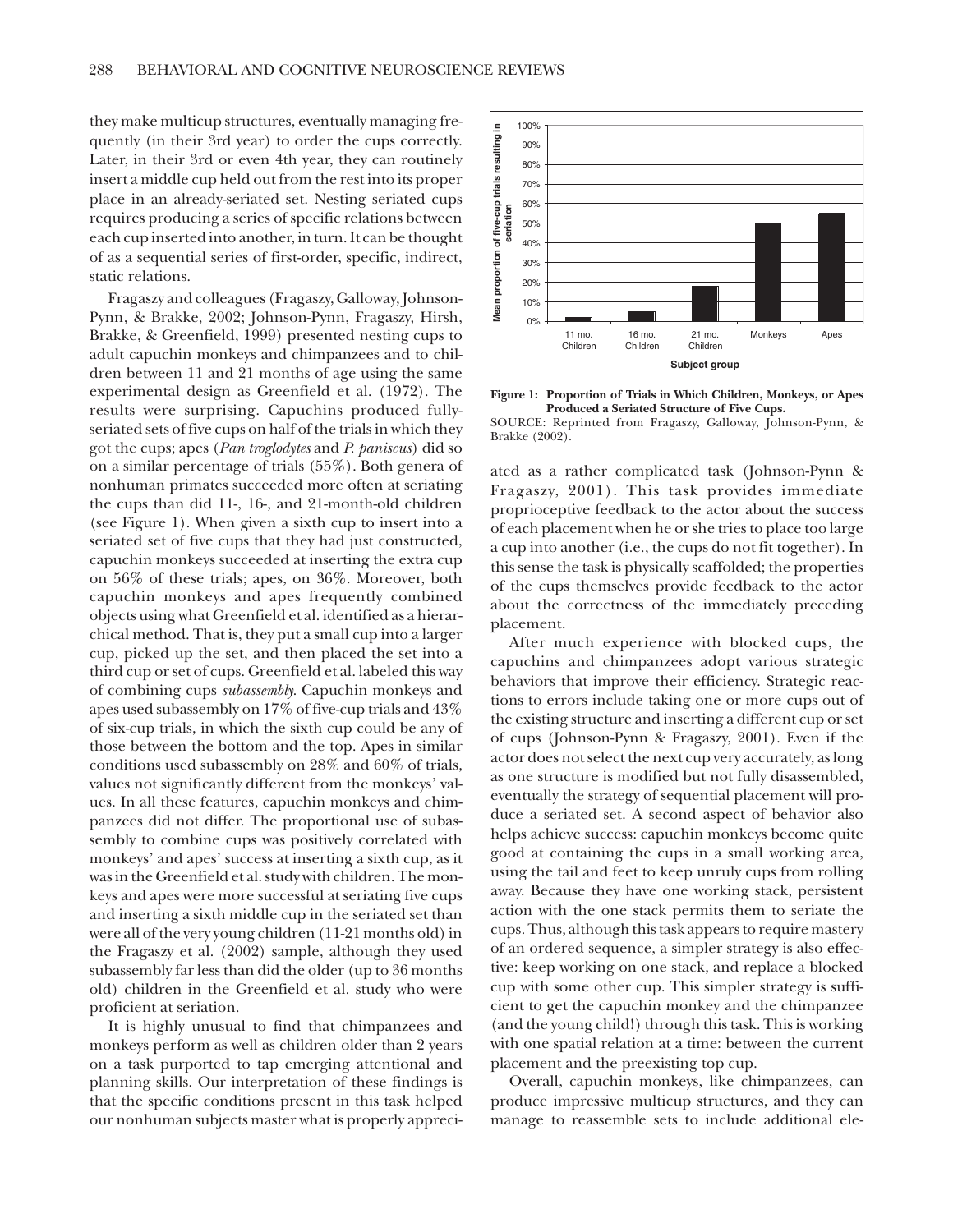they make multicup structures, eventually managing frequently (in their 3rd year) to order the cups correctly. Later, in their 3rd or even 4th year, they can routinely insert a middle cup held out from the rest into its proper place in an already-seriated set. Nesting seriated cups requires producing a series of specific relations between each cup inserted into another, in turn. It can be thought of as a sequential series of first-order, specific, indirect, static relations.

Fragaszy and colleagues (Fragaszy, Galloway, Johnson-Pynn, & Brakke, 2002; Johnson-Pynn, Fragaszy, Hirsh, Brakke, & Greenfield, 1999) presented nesting cups to adult capuchin monkeys and chimpanzees and to children between 11 and 21 months of age using the same experimental design as Greenfield et al. (1972). The results were surprising. Capuchins produced fullyseriated sets of five cups on half of the trials in which they got the cups; apes (*Pan troglodytes* and *P. paniscus*) did so on a similar percentage of trials (55%). Both genera of nonhuman primates succeeded more often at seriating the cups than did 11-, 16-, and 21-month-old children (see Figure 1). When given a sixth cup to insert into a seriated set of five cups that they had just constructed, capuchin monkeys succeeded at inserting the extra cup on 56% of these trials; apes, on 36%. Moreover, both capuchin monkeys and apes frequently combined objects using what Greenfield et al. identified as a hierarchical method. That is, they put a small cup into a larger cup, picked up the set, and then placed the set into a third cup or set of cups. Greenfield et al. labeled this way of combining cups *subassembly*. Capuchin monkeys and apes used subassembly on 17% of five-cup trials and 43% of six-cup trials, in which the sixth cup could be any of those between the bottom and the top. Apes in similar conditions used subassembly on 28% and 60% of trials, values not significantly different from the monkeys' values. In all these features, capuchin monkeys and chimpanzees did not differ. The proportional use of subassembly to combine cups was positively correlated with monkeys' and apes' success at inserting a sixth cup, as it was in the Greenfield et al. study with children. The monkeys and apes were more successful at seriating five cups and inserting a sixth middle cup in the seriated set than were all of the very young children (11-21 months old) in the Fragaszy et al. (2002) sample, although they used subassembly far less than did the older (up to 36 months old) children in the Greenfield et al. study who were proficient at seriation.

It is highly unusual to find that chimpanzees and monkeys perform as well as children older than 2 years on a task purported to tap emerging attentional and planning skills. Our interpretation of these findings is that the specific conditions present in this task helped our nonhuman subjects master what is properly appreci-



**Figure 1: Proportion of Trials in Which Children, Monkeys, or Apes Produced a Seriated Structure of Five Cups.** SOURCE: Reprinted from Fragaszy, Galloway, Johnson-Pynn, & Brakke (2002).

ated as a rather complicated task (Johnson-Pynn & Fragaszy, 2001). This task provides immediate proprioceptive feedback to the actor about the success of each placement when he or she tries to place too large a cup into another (i.e., the cups do not fit together). In this sense the task is physically scaffolded; the properties of the cups themselves provide feedback to the actor about the correctness of the immediately preceding placement.

After much experience with blocked cups, the capuchins and chimpanzees adopt various strategic behaviors that improve their efficiency. Strategic reactions to errors include taking one or more cups out of the existing structure and inserting a different cup or set of cups (Johnson-Pynn & Fragaszy, 2001). Even if the actor does not select the next cup very accurately, as long as one structure is modified but not fully disassembled, eventually the strategy of sequential placement will produce a seriated set. A second aspect of behavior also helps achieve success: capuchin monkeys become quite good at containing the cups in a small working area, using the tail and feet to keep unruly cups from rolling away. Because they have one working stack, persistent action with the one stack permits them to seriate the cups. Thus, although this task appears to require mastery of an ordered sequence, a simpler strategy is also effective: keep working on one stack, and replace a blocked cup with some other cup. This simpler strategy is sufficient to get the capuchin monkey and the chimpanzee (and the young child!) through this task. This is working with one spatial relation at a time: between the current placement and the preexisting top cup.

Overall, capuchin monkeys, like chimpanzees, can produce impressive multicup structures, and they can manage to reassemble sets to include additional ele-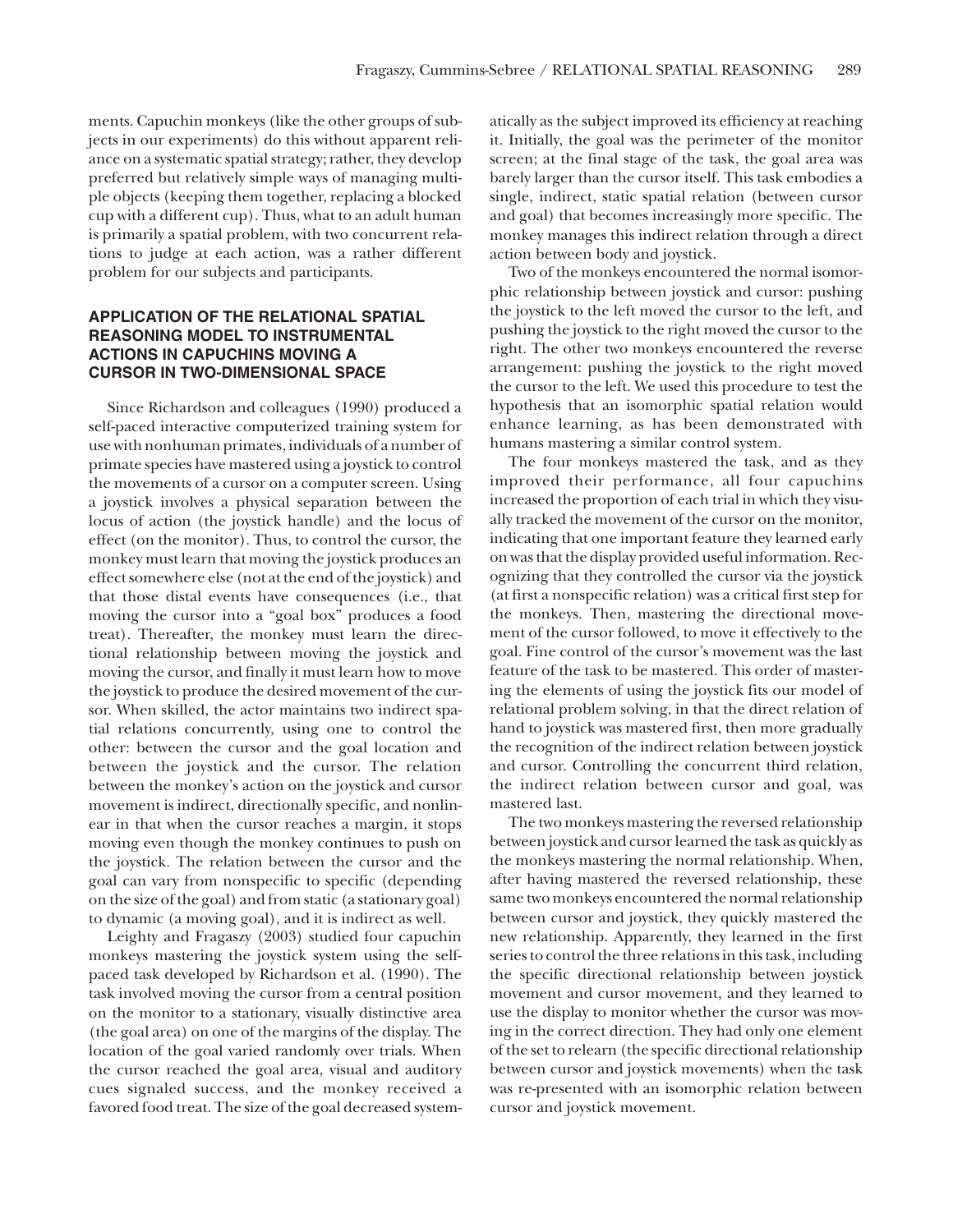ments. Capuchin monkeys (like the other groups of subjects in our experiments) do this without apparent reliance on a systematic spatial strategy; rather, they develop preferred but relatively simple ways of managing multiple objects (keeping them together, replacing a blocked cup with a different cup). Thus, what to an adult human is primarily a spatial problem, with two concurrent relations to judge at each action, was a rather different problem for our subjects and participants.

## **APPLICATION OF THE RELATIONAL SPATIAL REASONING MODEL TO INSTRUMENTAL ACTIONS IN CAPUCHINS MOVING A CURSOR IN TWO-DIMENSIONAL SPACE**

Since Richardson and colleagues (1990) produced a self-paced interactive computerized training system for use with nonhuman primates, individuals of a number of primate species have mastered using a joystick to control the movements of a cursor on a computer screen. Using a joystick involves a physical separation between the locus of action (the joystick handle) and the locus of effect (on the monitor). Thus, to control the cursor, the monkey must learn that moving the joystick produces an effect somewhere else (not at the end of the joystick) and that those distal events have consequences (i.e., that moving the cursor into a "goal box" produces a food treat). Thereafter, the monkey must learn the directional relationship between moving the joystick and moving the cursor, and finally it must learn how to move the joystick to produce the desired movement of the cursor. When skilled, the actor maintains two indirect spatial relations concurrently, using one to control the other: between the cursor and the goal location and between the joystick and the cursor. The relation between the monkey's action on the joystick and cursor movement is indirect, directionally specific, and nonlinear in that when the cursor reaches a margin, it stops moving even though the monkey continues to push on the joystick. The relation between the cursor and the goal can vary from nonspecific to specific (depending on the size of the goal) and from static (a stationary goal) to dynamic (a moving goal), and it is indirect as well.

Leighty and Fragaszy (2003) studied four capuchin monkeys mastering the joystick system using the selfpaced task developed by Richardson et al. (1990). The task involved moving the cursor from a central position on the monitor to a stationary, visually distinctive area (the goal area) on one of the margins of the display. The location of the goal varied randomly over trials. When the cursor reached the goal area, visual and auditory cues signaled success, and the monkey received a favored food treat. The size of the goal decreased systematically as the subject improved its efficiency at reaching it. Initially, the goal was the perimeter of the monitor screen; at the final stage of the task, the goal area was barely larger than the cursor itself. This task embodies a single, indirect, static spatial relation (between cursor and goal) that becomes increasingly more specific. The monkey manages this indirect relation through a direct action between body and joystick.

Two of the monkeys encountered the normal isomorphic relationship between joystick and cursor: pushing the joystick to the left moved the cursor to the left, and pushing the joystick to the right moved the cursor to the right. The other two monkeys encountered the reverse arrangement: pushing the joystick to the right moved the cursor to the left. We used this procedure to test the hypothesis that an isomorphic spatial relation would enhance learning, as has been demonstrated with humans mastering a similar control system.

The four monkeys mastered the task, and as they improved their performance, all four capuchins increased the proportion of each trial in which they visually tracked the movement of the cursor on the monitor, indicating that one important feature they learned early on was that the display provided useful information. Recognizing that they controlled the cursor via the joystick (at first a nonspecific relation) was a critical first step for the monkeys. Then, mastering the directional movement of the cursor followed, to move it effectively to the goal. Fine control of the cursor's movement was the last feature of the task to be mastered. This order of mastering the elements of using the joystick fits our model of relational problem solving, in that the direct relation of hand to joystick was mastered first, then more gradually the recognition of the indirect relation between joystick and cursor. Controlling the concurrent third relation, the indirect relation between cursor and goal, was mastered last.

The two monkeys mastering the reversed relationship between joystick and cursor learned the task as quickly as the monkeys mastering the normal relationship. When, after having mastered the reversed relationship, these same two monkeys encountered the normal relationship between cursor and joystick, they quickly mastered the new relationship. Apparently, they learned in the first series to control the three relations in this task, including the specific directional relationship between joystick movement and cursor movement, and they learned to use the display to monitor whether the cursor was moving in the correct direction. They had only one element of the set to relearn (the specific directional relationship between cursor and joystick movements) when the task was re-presented with an isomorphic relation between cursor and joystick movement.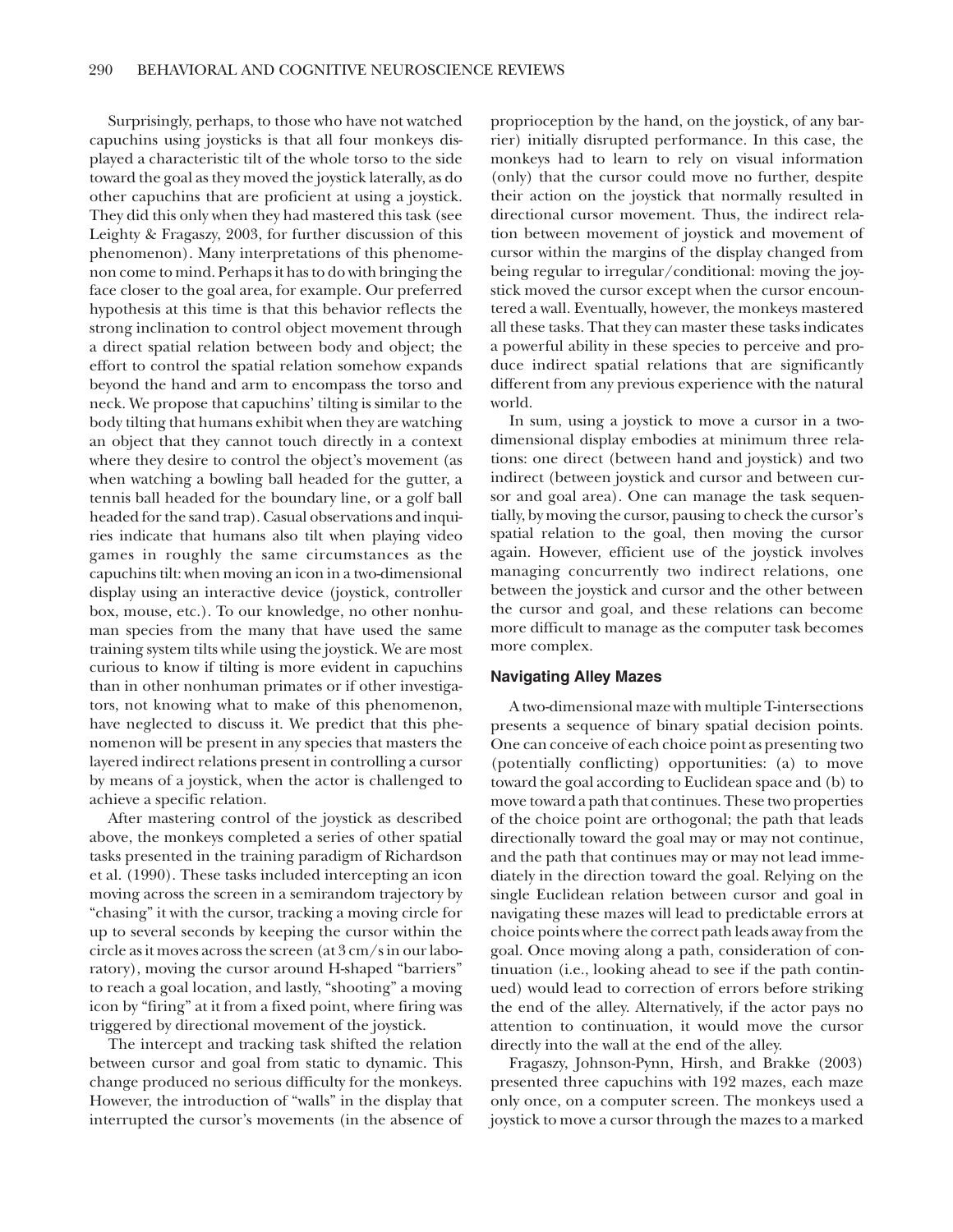Surprisingly, perhaps, to those who have not watched capuchins using joysticks is that all four monkeys displayed a characteristic tilt of the whole torso to the side toward the goal as they moved the joystick laterally, as do other capuchins that are proficient at using a joystick. They did this only when they had mastered this task (see Leighty & Fragaszy, 2003, for further discussion of this phenomenon). Many interpretations of this phenomenon come to mind. Perhaps it has to do with bringing the face closer to the goal area, for example. Our preferred hypothesis at this time is that this behavior reflects the strong inclination to control object movement through a direct spatial relation between body and object; the effort to control the spatial relation somehow expands beyond the hand and arm to encompass the torso and neck. We propose that capuchins' tilting is similar to the body tilting that humans exhibit when they are watching an object that they cannot touch directly in a context where they desire to control the object's movement (as when watching a bowling ball headed for the gutter, a tennis ball headed for the boundary line, or a golf ball headed for the sand trap). Casual observations and inquiries indicate that humans also tilt when playing video games in roughly the same circumstances as the capuchins tilt: when moving an icon in a two-dimensional display using an interactive device (joystick, controller box, mouse, etc.). To our knowledge, no other nonhuman species from the many that have used the same training system tilts while using the joystick. We are most curious to know if tilting is more evident in capuchins than in other nonhuman primates or if other investigators, not knowing what to make of this phenomenon, have neglected to discuss it. We predict that this phenomenon will be present in any species that masters the layered indirect relations present in controlling a cursor by means of a joystick, when the actor is challenged to achieve a specific relation.

After mastering control of the joystick as described above, the monkeys completed a series of other spatial tasks presented in the training paradigm of Richardson et al. (1990). These tasks included intercepting an icon moving across the screen in a semirandom trajectory by "chasing" it with the cursor, tracking a moving circle for up to several seconds by keeping the cursor within the circle as it moves across the screen (at 3 cm/s in our laboratory), moving the cursor around H-shaped "barriers" to reach a goal location, and lastly, "shooting" a moving icon by "firing" at it from a fixed point, where firing was triggered by directional movement of the joystick.

The intercept and tracking task shifted the relation between cursor and goal from static to dynamic. This change produced no serious difficulty for the monkeys. However, the introduction of "walls" in the display that interrupted the cursor's movements (in the absence of proprioception by the hand, on the joystick, of any barrier) initially disrupted performance. In this case, the monkeys had to learn to rely on visual information (only) that the cursor could move no further, despite their action on the joystick that normally resulted in directional cursor movement. Thus, the indirect relation between movement of joystick and movement of cursor within the margins of the display changed from being regular to irregular/conditional: moving the joystick moved the cursor except when the cursor encountered a wall. Eventually, however, the monkeys mastered all these tasks. That they can master these tasks indicates a powerful ability in these species to perceive and produce indirect spatial relations that are significantly different from any previous experience with the natural world.

In sum, using a joystick to move a cursor in a twodimensional display embodies at minimum three relations: one direct (between hand and joystick) and two indirect (between joystick and cursor and between cursor and goal area). One can manage the task sequentially, by moving the cursor, pausing to check the cursor's spatial relation to the goal, then moving the cursor again. However, efficient use of the joystick involves managing concurrently two indirect relations, one between the joystick and cursor and the other between the cursor and goal, and these relations can become more difficult to manage as the computer task becomes more complex.

### **Navigating Alley Mazes**

A two-dimensional maze with multiple T-intersections presents a sequence of binary spatial decision points. One can conceive of each choice point as presenting two (potentially conflicting) opportunities: (a) to move toward the goal according to Euclidean space and (b) to move toward a path that continues. These two properties of the choice point are orthogonal; the path that leads directionally toward the goal may or may not continue, and the path that continues may or may not lead immediately in the direction toward the goal. Relying on the single Euclidean relation between cursor and goal in navigating these mazes will lead to predictable errors at choice points where the correct path leads away from the goal. Once moving along a path, consideration of continuation (i.e., looking ahead to see if the path continued) would lead to correction of errors before striking the end of the alley. Alternatively, if the actor pays no attention to continuation, it would move the cursor directly into the wall at the end of the alley.

Fragaszy, Johnson-Pynn, Hirsh, and Brakke (2003) presented three capuchins with 192 mazes, each maze only once, on a computer screen. The monkeys used a joystick to move a cursor through the mazes to a marked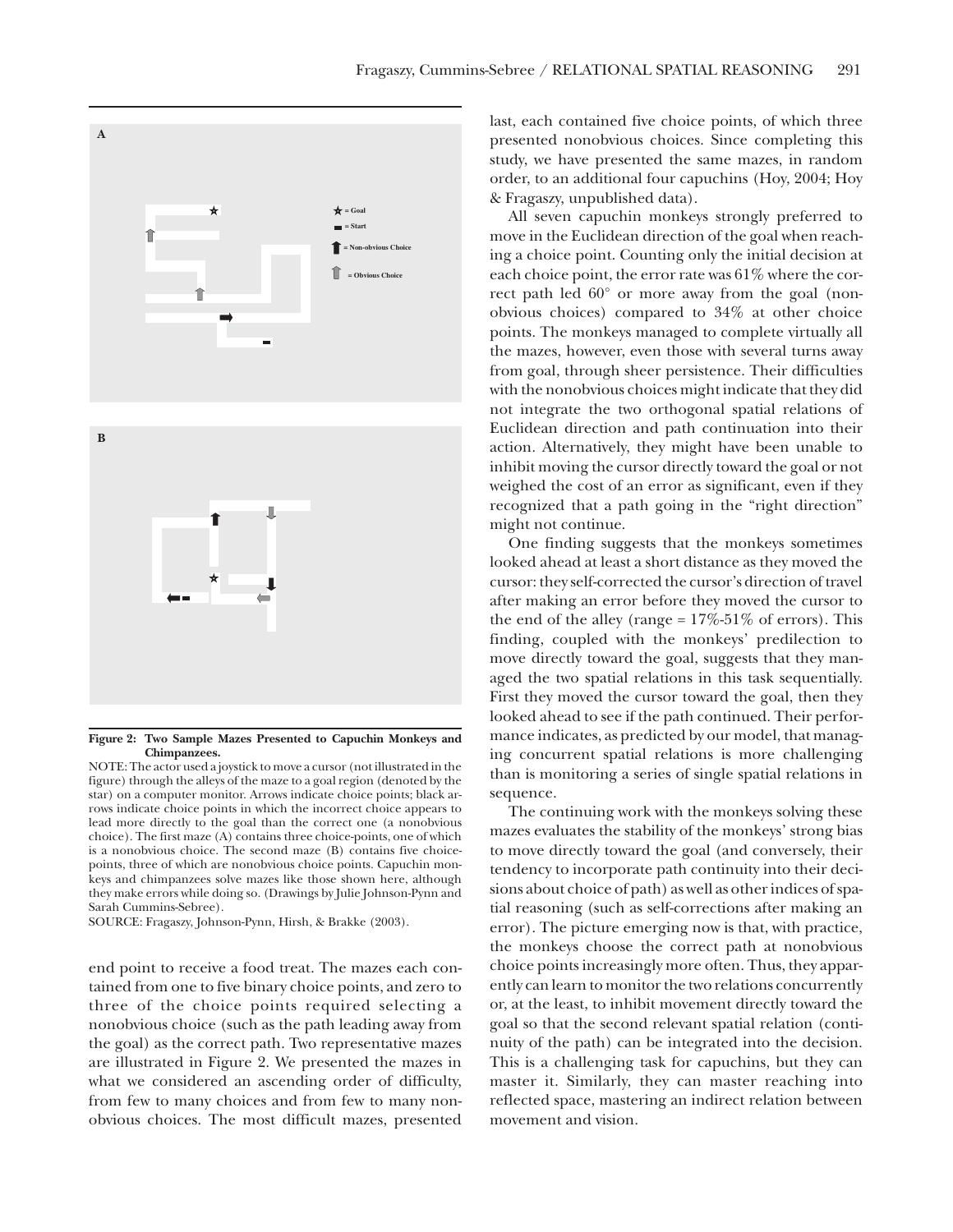

**Figure 2: Two Sample Mazes Presented to Capuchin Monkeys and Chimpanzees.**

NOTE: The actor used a joystick to move a cursor (not illustrated in the figure) through the alleys of the maze to a goal region (denoted by the star) on a computer monitor. Arrows indicate choice points; black arrows indicate choice points in which the incorrect choice appears to lead more directly to the goal than the correct one (a nonobvious choice). The first maze (A) contains three choice-points, one of which is a nonobvious choice. The second maze (B) contains five choicepoints, three of which are nonobvious choice points. Capuchin monkeys and chimpanzees solve mazes like those shown here, although they make errors while doing so. (Drawings by Julie Johnson-Pynn and Sarah Cummins-Sebree).

SOURCE: Fragaszy, Johnson-Pynn, Hirsh, & Brakke (2003).

end point to receive a food treat. The mazes each contained from one to five binary choice points, and zero to three of the choice points required selecting a nonobvious choice (such as the path leading away from the goal) as the correct path. Two representative mazes are illustrated in Figure 2. We presented the mazes in what we considered an ascending order of difficulty, from few to many choices and from few to many nonobvious choices. The most difficult mazes, presented last, each contained five choice points, of which three presented nonobvious choices. Since completing this study, we have presented the same mazes, in random order, to an additional four capuchins (Hoy, 2004; Hoy & Fragaszy, unpublished data).

All seven capuchin monkeys strongly preferred to move in the Euclidean direction of the goal when reaching a choice point. Counting only the initial decision at each choice point, the error rate was 61% where the correct path led 60° or more away from the goal (nonobvious choices) compared to 34% at other choice points. The monkeys managed to complete virtually all the mazes, however, even those with several turns away from goal, through sheer persistence. Their difficulties with the nonobvious choices might indicate that they did not integrate the two orthogonal spatial relations of Euclidean direction and path continuation into their action. Alternatively, they might have been unable to inhibit moving the cursor directly toward the goal or not weighed the cost of an error as significant, even if they recognized that a path going in the "right direction" might not continue.

One finding suggests that the monkeys sometimes looked ahead at least a short distance as they moved the cursor: they self-corrected the cursor's direction of travel after making an error before they moved the cursor to the end of the alley (range  $= 17\% - 51\%$  of errors). This finding, coupled with the monkeys' predilection to move directly toward the goal, suggests that they managed the two spatial relations in this task sequentially. First they moved the cursor toward the goal, then they looked ahead to see if the path continued. Their performance indicates, as predicted by our model, that managing concurrent spatial relations is more challenging than is monitoring a series of single spatial relations in sequence.

The continuing work with the monkeys solving these mazes evaluates the stability of the monkeys' strong bias to move directly toward the goal (and conversely, their tendency to incorporate path continuity into their decisions about choice of path) as well as other indices of spatial reasoning (such as self-corrections after making an error). The picture emerging now is that, with practice, the monkeys choose the correct path at nonobvious choice points increasingly more often. Thus, they apparently can learn to monitor the two relations concurrently or, at the least, to inhibit movement directly toward the goal so that the second relevant spatial relation (continuity of the path) can be integrated into the decision. This is a challenging task for capuchins, but they can master it. Similarly, they can master reaching into reflected space, mastering an indirect relation between movement and vision.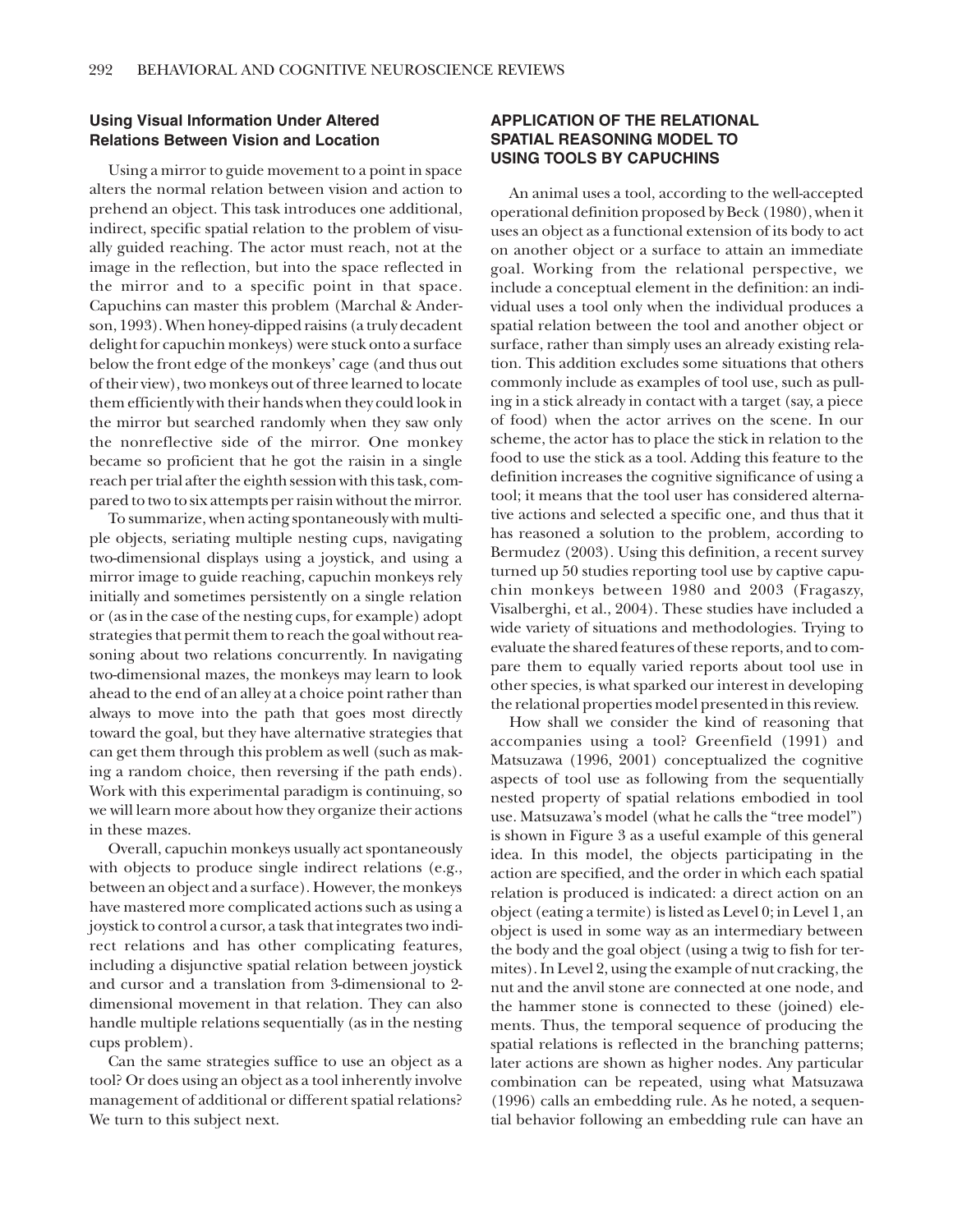## **Using Visual Information Under Altered Relations Between Vision and Location**

Using a mirror to guide movement to a point in space alters the normal relation between vision and action to prehend an object. This task introduces one additional, indirect, specific spatial relation to the problem of visually guided reaching. The actor must reach, not at the image in the reflection, but into the space reflected in the mirror and to a specific point in that space. Capuchins can master this problem (Marchal & Anderson, 1993). When honey-dipped raisins (a truly decadent delight for capuchin monkeys) were stuck onto a surface below the front edge of the monkeys' cage (and thus out of their view), two monkeys out of three learned to locate them efficiently with their hands when they could look in the mirror but searched randomly when they saw only the nonreflective side of the mirror. One monkey became so proficient that he got the raisin in a single reach per trial after the eighth session with this task, compared to two to six attempts per raisin without the mirror.

To summarize, when acting spontaneously with multiple objects, seriating multiple nesting cups, navigating two-dimensional displays using a joystick, and using a mirror image to guide reaching, capuchin monkeys rely initially and sometimes persistently on a single relation or (as in the case of the nesting cups, for example) adopt strategies that permit them to reach the goal without reasoning about two relations concurrently. In navigating two-dimensional mazes, the monkeys may learn to look ahead to the end of an alley at a choice point rather than always to move into the path that goes most directly toward the goal, but they have alternative strategies that can get them through this problem as well (such as making a random choice, then reversing if the path ends). Work with this experimental paradigm is continuing, so we will learn more about how they organize their actions in these mazes.

Overall, capuchin monkeys usually act spontaneously with objects to produce single indirect relations (e.g., between an object and a surface). However, the monkeys have mastered more complicated actions such as using a joystick to control a cursor, a task that integrates two indirect relations and has other complicating features, including a disjunctive spatial relation between joystick and cursor and a translation from 3-dimensional to 2 dimensional movement in that relation. They can also handle multiple relations sequentially (as in the nesting cups problem).

Can the same strategies suffice to use an object as a tool? Or does using an object as a tool inherently involve management of additional or different spatial relations? We turn to this subject next.

# **APPLICATION OF THE RELATIONAL SPATIAL REASONING MODEL TO USING TOOLS BY CAPUCHINS**

An animal uses a tool, according to the well-accepted operational definition proposed by Beck (1980), when it uses an object as a functional extension of its body to act on another object or a surface to attain an immediate goal. Working from the relational perspective, we include a conceptual element in the definition: an individual uses a tool only when the individual produces a spatial relation between the tool and another object or surface, rather than simply uses an already existing relation. This addition excludes some situations that others commonly include as examples of tool use, such as pulling in a stick already in contact with a target (say, a piece of food) when the actor arrives on the scene. In our scheme, the actor has to place the stick in relation to the food to use the stick as a tool. Adding this feature to the definition increases the cognitive significance of using a tool; it means that the tool user has considered alternative actions and selected a specific one, and thus that it has reasoned a solution to the problem, according to Bermudez (2003). Using this definition, a recent survey turned up 50 studies reporting tool use by captive capuchin monkeys between 1980 and 2003 (Fragaszy, Visalberghi, et al., 2004). These studies have included a wide variety of situations and methodologies. Trying to evaluate the shared features of these reports, and to compare them to equally varied reports about tool use in other species, is what sparked our interest in developing the relational properties model presented in this review.

How shall we consider the kind of reasoning that accompanies using a tool? Greenfield (1991) and Matsuzawa (1996, 2001) conceptualized the cognitive aspects of tool use as following from the sequentially nested property of spatial relations embodied in tool use. Matsuzawa's model (what he calls the "tree model") is shown in Figure 3 as a useful example of this general idea. In this model, the objects participating in the action are specified, and the order in which each spatial relation is produced is indicated: a direct action on an object (eating a termite) is listed as Level 0; in Level 1, an object is used in some way as an intermediary between the body and the goal object (using a twig to fish for termites). In Level 2, using the example of nut cracking, the nut and the anvil stone are connected at one node, and the hammer stone is connected to these (joined) elements. Thus, the temporal sequence of producing the spatial relations is reflected in the branching patterns; later actions are shown as higher nodes. Any particular combination can be repeated, using what Matsuzawa (1996) calls an embedding rule. As he noted, a sequential behavior following an embedding rule can have an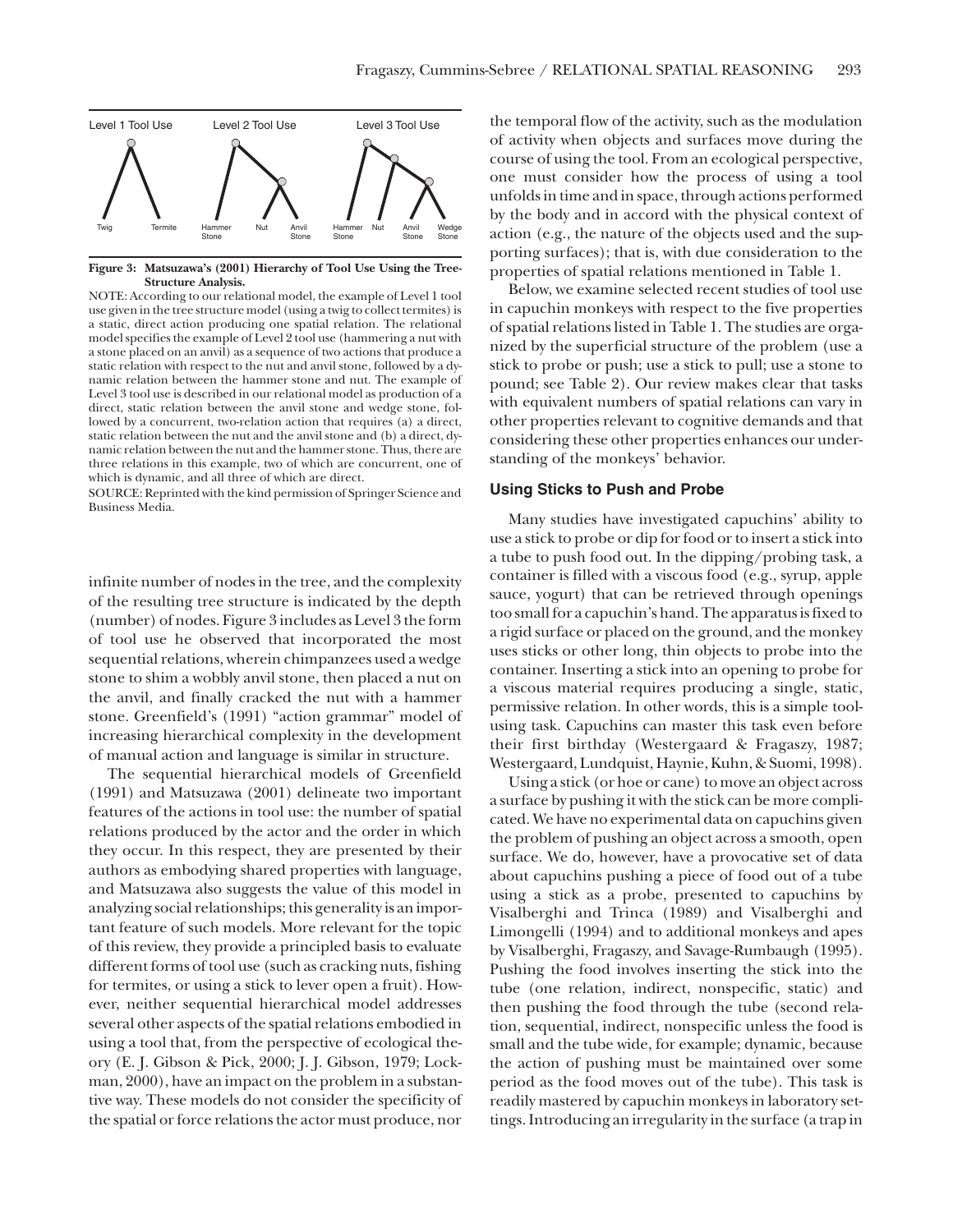

**Figure 3: Matsuzawa's (2001) Hierarchy of Tool Use Using the Tree-Structure Analysis.**

NOTE: According to our relational model, the example of Level 1 tool use given in the tree structure model (using a twig to collect termites) is a static, direct action producing one spatial relation. The relational model specifies the example of Level 2 tool use (hammering a nut with a stone placed on an anvil) as a sequence of two actions that produce a static relation with respect to the nut and anvil stone, followed by a dynamic relation between the hammer stone and nut. The example of Level 3 tool use is described in our relational model as production of a direct, static relation between the anvil stone and wedge stone, followed by a concurrent, two-relation action that requires (a) a direct, static relation between the nut and the anvil stone and (b) a direct, dynamic relation between the nut and the hammer stone. Thus, there are three relations in this example, two of which are concurrent, one of which is dynamic, and all three of which are direct.

SOURCE: Reprinted with the kind permission of Springer Science and Business Media.

infinite number of nodes in the tree, and the complexity of the resulting tree structure is indicated by the depth (number) of nodes. Figure 3 includes as Level 3 the form of tool use he observed that incorporated the most sequential relations, wherein chimpanzees used a wedge stone to shim a wobbly anvil stone, then placed a nut on the anvil, and finally cracked the nut with a hammer stone. Greenfield's (1991) "action grammar" model of increasing hierarchical complexity in the development of manual action and language is similar in structure.

The sequential hierarchical models of Greenfield (1991) and Matsuzawa (2001) delineate two important features of the actions in tool use: the number of spatial relations produced by the actor and the order in which they occur. In this respect, they are presented by their authors as embodying shared properties with language, and Matsuzawa also suggests the value of this model in analyzing social relationships; this generality is an important feature of such models. More relevant for the topic of this review, they provide a principled basis to evaluate different forms of tool use (such as cracking nuts, fishing for termites, or using a stick to lever open a fruit). However, neither sequential hierarchical model addresses several other aspects of the spatial relations embodied in using a tool that, from the perspective of ecological theory (E. J. Gibson & Pick, 2000; J. J. Gibson, 1979; Lockman, 2000), have an impact on the problem in a substantive way. These models do not consider the specificity of the spatial or force relations the actor must produce, nor the temporal flow of the activity, such as the modulation of activity when objects and surfaces move during the course of using the tool. From an ecological perspective, one must consider how the process of using a tool unfolds in time and in space, through actions performed by the body and in accord with the physical context of action (e.g., the nature of the objects used and the supporting surfaces); that is, with due consideration to the properties of spatial relations mentioned in Table 1.

Below, we examine selected recent studies of tool use in capuchin monkeys with respect to the five properties of spatial relations listed in Table 1. The studies are organized by the superficial structure of the problem (use a stick to probe or push; use a stick to pull; use a stone to pound; see Table 2). Our review makes clear that tasks with equivalent numbers of spatial relations can vary in other properties relevant to cognitive demands and that considering these other properties enhances our understanding of the monkeys' behavior.

## **Using Sticks to Push and Probe**

Many studies have investigated capuchins' ability to use a stick to probe or dip for food or to insert a stick into a tube to push food out. In the dipping/probing task, a container is filled with a viscous food (e.g., syrup, apple sauce, yogurt) that can be retrieved through openings too small for a capuchin's hand. The apparatus is fixed to a rigid surface or placed on the ground, and the monkey uses sticks or other long, thin objects to probe into the container. Inserting a stick into an opening to probe for a viscous material requires producing a single, static, permissive relation. In other words, this is a simple toolusing task. Capuchins can master this task even before their first birthday (Westergaard & Fragaszy, 1987; Westergaard, Lundquist, Haynie, Kuhn, & Suomi, 1998).

Using a stick (or hoe or cane) to move an object across a surface by pushing it with the stick can be more complicated. We have no experimental data on capuchins given the problem of pushing an object across a smooth, open surface. We do, however, have a provocative set of data about capuchins pushing a piece of food out of a tube using a stick as a probe, presented to capuchins by Visalberghi and Trinca (1989) and Visalberghi and Limongelli (1994) and to additional monkeys and apes by Visalberghi, Fragaszy, and Savage-Rumbaugh (1995). Pushing the food involves inserting the stick into the tube (one relation, indirect, nonspecific, static) and then pushing the food through the tube (second relation, sequential, indirect, nonspecific unless the food is small and the tube wide, for example; dynamic, because the action of pushing must be maintained over some period as the food moves out of the tube). This task is readily mastered by capuchin monkeys in laboratory settings. Introducing an irregularity in the surface (a trap in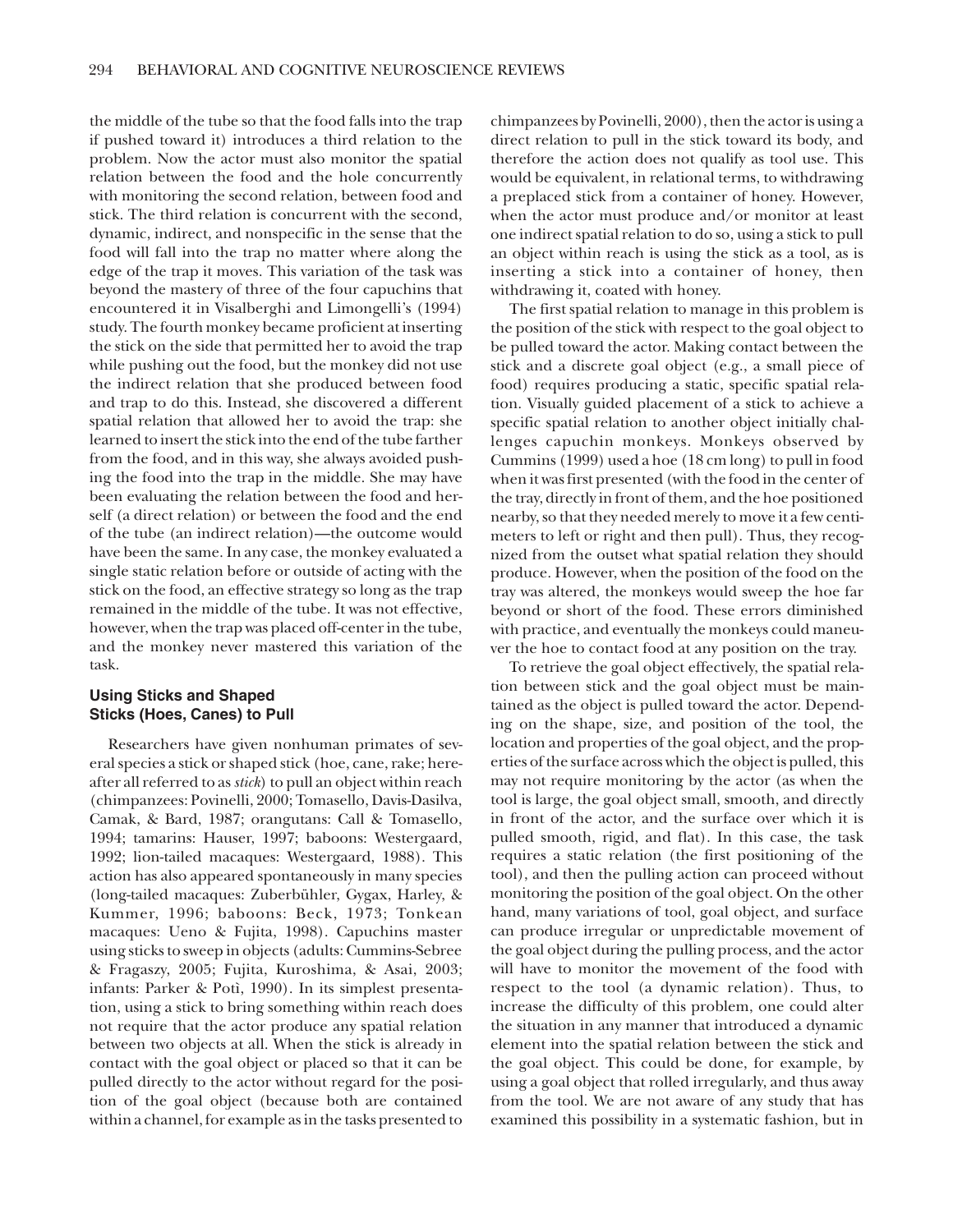the middle of the tube so that the food falls into the trap if pushed toward it) introduces a third relation to the problem. Now the actor must also monitor the spatial relation between the food and the hole concurrently with monitoring the second relation, between food and stick. The third relation is concurrent with the second, dynamic, indirect, and nonspecific in the sense that the food will fall into the trap no matter where along the edge of the trap it moves. This variation of the task was beyond the mastery of three of the four capuchins that encountered it in Visalberghi and Limongelli's (1994) study. The fourth monkey became proficient at inserting the stick on the side that permitted her to avoid the trap while pushing out the food, but the monkey did not use the indirect relation that she produced between food and trap to do this. Instead, she discovered a different spatial relation that allowed her to avoid the trap: she learned to insert the stick into the end of the tube farther from the food, and in this way, she always avoided pushing the food into the trap in the middle. She may have been evaluating the relation between the food and herself (a direct relation) or between the food and the end of the tube (an indirect relation)—the outcome would have been the same. In any case, the monkey evaluated a single static relation before or outside of acting with the stick on the food, an effective strategy so long as the trap remained in the middle of the tube. It was not effective, however, when the trap was placed off-center in the tube, and the monkey never mastered this variation of the task.

## **Using Sticks and Shaped Sticks (Hoes, Canes) to Pull**

Researchers have given nonhuman primates of several species a stick or shaped stick (hoe, cane, rake; hereafter all referred to as*stick*) to pull an object within reach (chimpanzees: Povinelli, 2000; Tomasello, Davis-Dasilva, Camak, & Bard, 1987; orangutans: Call & Tomasello, 1994; tamarins: Hauser, 1997; baboons: Westergaard, 1992; lion-tailed macaques: Westergaard, 1988). This action has also appeared spontaneously in many species (long-tailed macaques: Zuberbühler, Gygax, Harley, & Kummer, 1996; baboons: Beck, 1973; Tonkean macaques: Ueno & Fujita, 1998). Capuchins master using sticks to sweep in objects (adults: Cummins-Sebree & Fragaszy, 2005; Fujita, Kuroshima, & Asai, 2003; infants: Parker & Potì, 1990). In its simplest presentation, using a stick to bring something within reach does not require that the actor produce any spatial relation between two objects at all. When the stick is already in contact with the goal object or placed so that it can be pulled directly to the actor without regard for the position of the goal object (because both are contained within a channel, for example as in the tasks presented to chimpanzees by Povinelli, 2000), then the actor is using a direct relation to pull in the stick toward its body, and therefore the action does not qualify as tool use. This would be equivalent, in relational terms, to withdrawing a preplaced stick from a container of honey. However, when the actor must produce and/or monitor at least one indirect spatial relation to do so, using a stick to pull an object within reach is using the stick as a tool, as is inserting a stick into a container of honey, then withdrawing it, coated with honey.

The first spatial relation to manage in this problem is the position of the stick with respect to the goal object to be pulled toward the actor. Making contact between the stick and a discrete goal object (e.g., a small piece of food) requires producing a static, specific spatial relation. Visually guided placement of a stick to achieve a specific spatial relation to another object initially challenges capuchin monkeys. Monkeys observed by Cummins (1999) used a hoe (18 cm long) to pull in food when it was first presented (with the food in the center of the tray, directly in front of them, and the hoe positioned nearby, so that they needed merely to move it a few centimeters to left or right and then pull). Thus, they recognized from the outset what spatial relation they should produce. However, when the position of the food on the tray was altered, the monkeys would sweep the hoe far beyond or short of the food. These errors diminished with practice, and eventually the monkeys could maneuver the hoe to contact food at any position on the tray.

To retrieve the goal object effectively, the spatial relation between stick and the goal object must be maintained as the object is pulled toward the actor. Depending on the shape, size, and position of the tool, the location and properties of the goal object, and the properties of the surface across which the object is pulled, this may not require monitoring by the actor (as when the tool is large, the goal object small, smooth, and directly in front of the actor, and the surface over which it is pulled smooth, rigid, and flat). In this case, the task requires a static relation (the first positioning of the tool), and then the pulling action can proceed without monitoring the position of the goal object. On the other hand, many variations of tool, goal object, and surface can produce irregular or unpredictable movement of the goal object during the pulling process, and the actor will have to monitor the movement of the food with respect to the tool (a dynamic relation). Thus, to increase the difficulty of this problem, one could alter the situation in any manner that introduced a dynamic element into the spatial relation between the stick and the goal object. This could be done, for example, by using a goal object that rolled irregularly, and thus away from the tool. We are not aware of any study that has examined this possibility in a systematic fashion, but in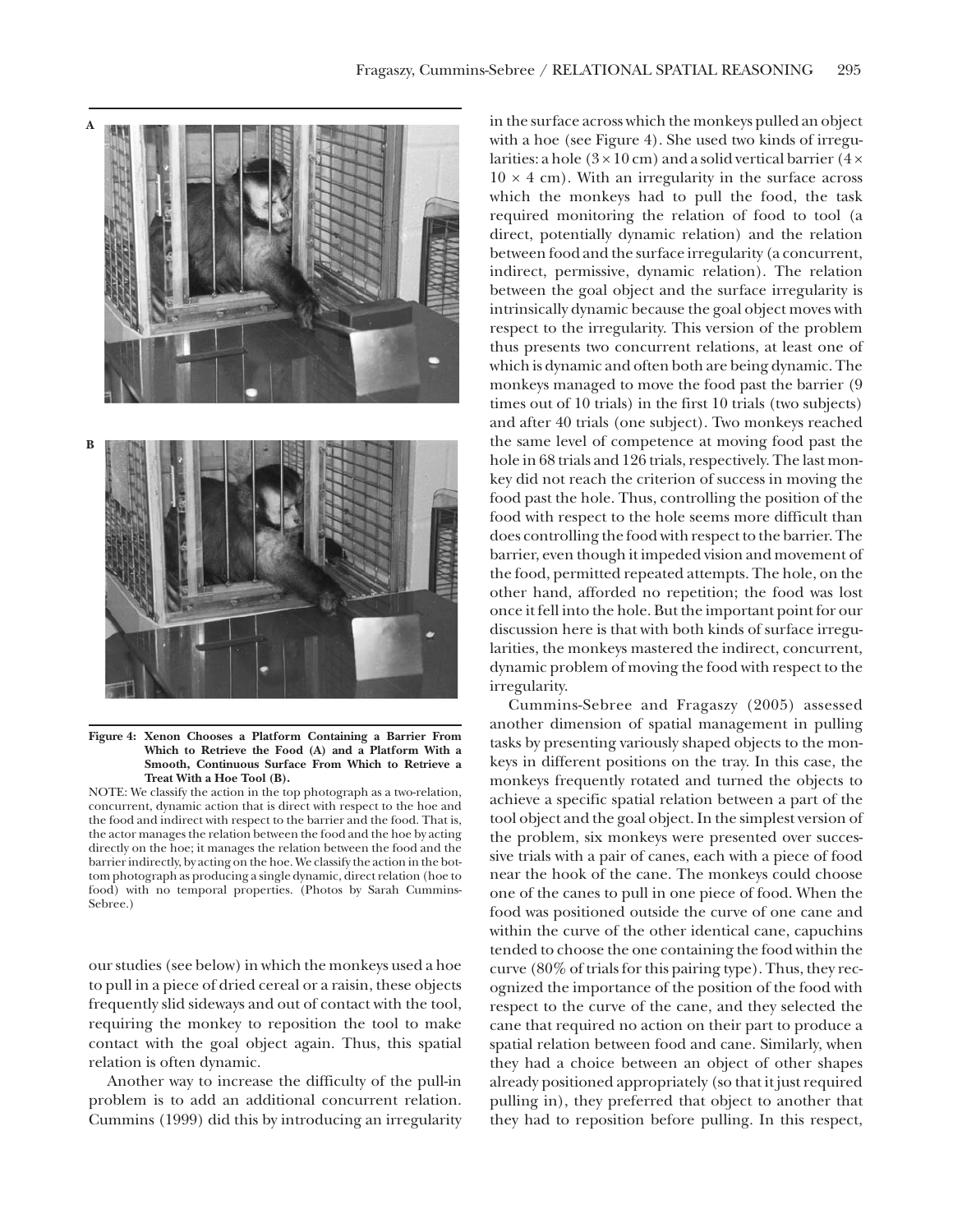

**Figure 4: Xenon Chooses a Platform Containing a Barrier From Which to Retrieve the Food (A) and a Platform With a Smooth, Continuous Surface From Which to Retrieve a Treat With a Hoe Tool (B).**

NOTE: We classify the action in the top photograph as a two-relation, concurrent, dynamic action that is direct with respect to the hoe and the food and indirect with respect to the barrier and the food. That is, the actor manages the relation between the food and the hoe by acting directly on the hoe; it manages the relation between the food and the barrier indirectly, by acting on the hoe. We classify the action in the bottom photograph as producing a single dynamic, direct relation (hoe to food) with no temporal properties. (Photos by Sarah Cummins-Sebree.)

our studies (see below) in which the monkeys used a hoe to pull in a piece of dried cereal or a raisin, these objects frequently slid sideways and out of contact with the tool, requiring the monkey to reposition the tool to make contact with the goal object again. Thus, this spatial relation is often dynamic.

Another way to increase the difficulty of the pull-in problem is to add an additional concurrent relation. Cummins (1999) did this by introducing an irregularity in the surface across which the monkeys pulled an object with a hoe (see Figure 4). She used two kinds of irregularities: a hole  $(3 \times 10 \text{ cm})$  and a solid vertical barrier  $(4 \times$  $10 \times 4$  cm). With an irregularity in the surface across which the monkeys had to pull the food, the task required monitoring the relation of food to tool (a direct, potentially dynamic relation) and the relation between food and the surface irregularity (a concurrent, indirect, permissive, dynamic relation). The relation between the goal object and the surface irregularity is intrinsically dynamic because the goal object moves with respect to the irregularity. This version of the problem thus presents two concurrent relations, at least one of which is dynamic and often both are being dynamic. The monkeys managed to move the food past the barrier (9 times out of 10 trials) in the first 10 trials (two subjects) and after 40 trials (one subject). Two monkeys reached the same level of competence at moving food past the hole in 68 trials and 126 trials, respectively. The last monkey did not reach the criterion of success in moving the food past the hole. Thus, controlling the position of the food with respect to the hole seems more difficult than does controlling the food with respect to the barrier. The barrier, even though it impeded vision and movement of the food, permitted repeated attempts. The hole, on the other hand, afforded no repetition; the food was lost once it fell into the hole. But the important point for our discussion here is that with both kinds of surface irregularities, the monkeys mastered the indirect, concurrent, dynamic problem of moving the food with respect to the irregularity.

Cummins-Sebree and Fragaszy (2005) assessed another dimension of spatial management in pulling tasks by presenting variously shaped objects to the monkeys in different positions on the tray. In this case, the monkeys frequently rotated and turned the objects to achieve a specific spatial relation between a part of the tool object and the goal object. In the simplest version of the problem, six monkeys were presented over successive trials with a pair of canes, each with a piece of food near the hook of the cane. The monkeys could choose one of the canes to pull in one piece of food. When the food was positioned outside the curve of one cane and within the curve of the other identical cane, capuchins tended to choose the one containing the food within the curve (80% of trials for this pairing type). Thus, they recognized the importance of the position of the food with respect to the curve of the cane, and they selected the cane that required no action on their part to produce a spatial relation between food and cane. Similarly, when they had a choice between an object of other shapes already positioned appropriately (so that it just required pulling in), they preferred that object to another that they had to reposition before pulling. In this respect,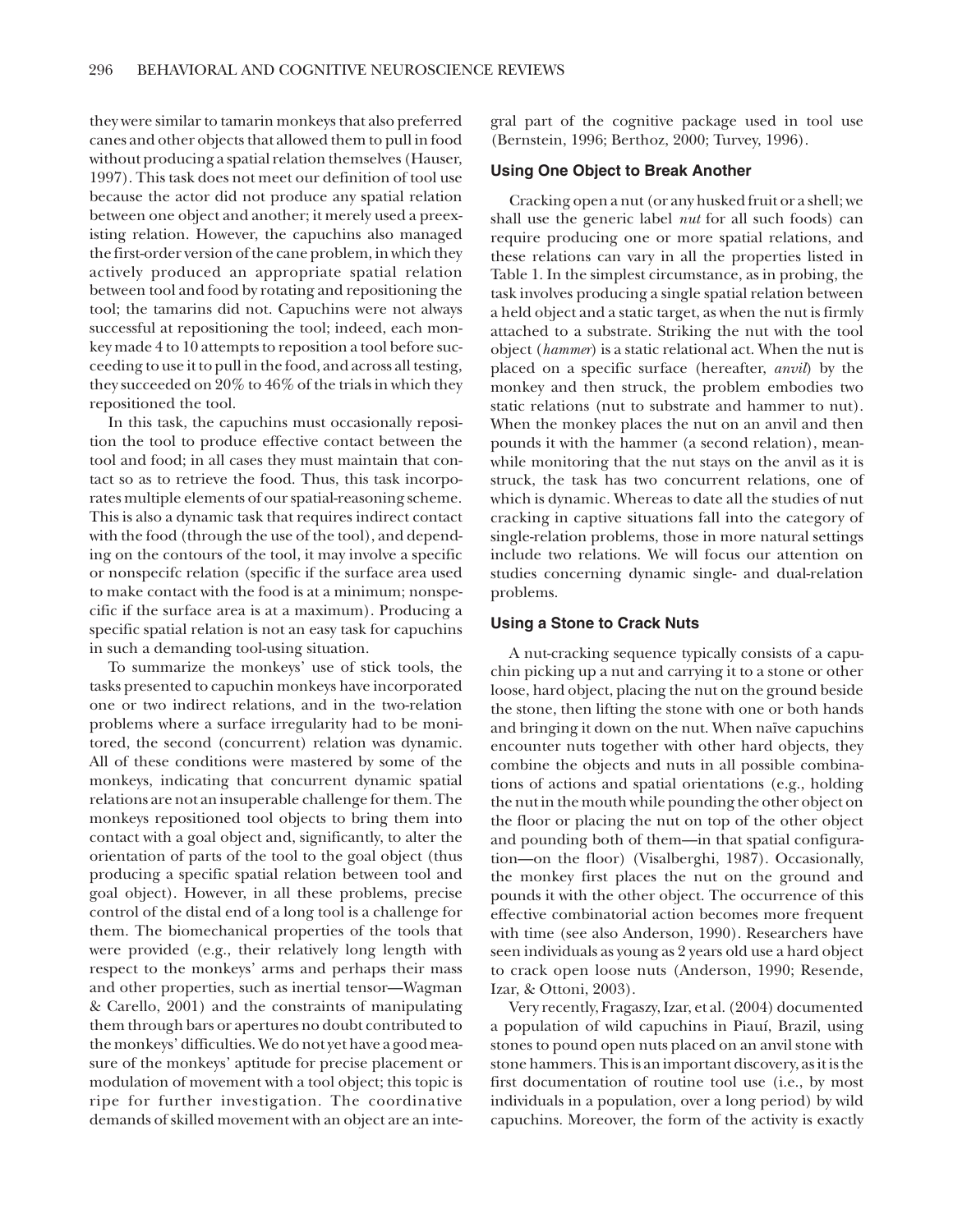they were similar to tamarin monkeys that also preferred canes and other objects that allowed them to pull in food without producing a spatial relation themselves (Hauser, 1997). This task does not meet our definition of tool use because the actor did not produce any spatial relation between one object and another; it merely used a preexisting relation. However, the capuchins also managed the first-order version of the cane problem, in which they actively produced an appropriate spatial relation between tool and food by rotating and repositioning the tool; the tamarins did not. Capuchins were not always successful at repositioning the tool; indeed, each monkey made 4 to 10 attempts to reposition a tool before succeeding to use it to pull in the food, and across all testing, they succeeded on 20% to 46% of the trials in which they repositioned the tool.

In this task, the capuchins must occasionally reposition the tool to produce effective contact between the tool and food; in all cases they must maintain that contact so as to retrieve the food. Thus, this task incorporates multiple elements of our spatial-reasoning scheme. This is also a dynamic task that requires indirect contact with the food (through the use of the tool), and depending on the contours of the tool, it may involve a specific or nonspecifc relation (specific if the surface area used to make contact with the food is at a minimum; nonspecific if the surface area is at a maximum). Producing a specific spatial relation is not an easy task for capuchins in such a demanding tool-using situation.

To summarize the monkeys' use of stick tools, the tasks presented to capuchin monkeys have incorporated one or two indirect relations, and in the two-relation problems where a surface irregularity had to be monitored, the second (concurrent) relation was dynamic. All of these conditions were mastered by some of the monkeys, indicating that concurrent dynamic spatial relations are not an insuperable challenge for them. The monkeys repositioned tool objects to bring them into contact with a goal object and, significantly, to alter the orientation of parts of the tool to the goal object (thus producing a specific spatial relation between tool and goal object). However, in all these problems, precise control of the distal end of a long tool is a challenge for them. The biomechanical properties of the tools that were provided (e.g., their relatively long length with respect to the monkeys' arms and perhaps their mass and other properties, such as inertial tensor—Wagman & Carello, 2001) and the constraints of manipulating them through bars or apertures no doubt contributed to the monkeys' difficulties. We do not yet have a good measure of the monkeys' aptitude for precise placement or modulation of movement with a tool object; this topic is ripe for further investigation. The coordinative demands of skilled movement with an object are an integral part of the cognitive package used in tool use (Bernstein, 1996; Berthoz, 2000; Turvey, 1996).

## **Using One Object to Break Another**

Cracking open a nut (or any husked fruit or a shell; we shall use the generic label *nut* for all such foods) can require producing one or more spatial relations, and these relations can vary in all the properties listed in Table 1. In the simplest circumstance, as in probing, the task involves producing a single spatial relation between a held object and a static target, as when the nut is firmly attached to a substrate. Striking the nut with the tool object (*hammer*) is a static relational act. When the nut is placed on a specific surface (hereafter, *anvil*) by the monkey and then struck, the problem embodies two static relations (nut to substrate and hammer to nut). When the monkey places the nut on an anvil and then pounds it with the hammer (a second relation), meanwhile monitoring that the nut stays on the anvil as it is struck, the task has two concurrent relations, one of which is dynamic. Whereas to date all the studies of nut cracking in captive situations fall into the category of single-relation problems, those in more natural settings include two relations. We will focus our attention on studies concerning dynamic single- and dual-relation problems.

### **Using a Stone to Crack Nuts**

A nut-cracking sequence typically consists of a capuchin picking up a nut and carrying it to a stone or other loose, hard object, placing the nut on the ground beside the stone, then lifting the stone with one or both hands and bringing it down on the nut. When naïve capuchins encounter nuts together with other hard objects, they combine the objects and nuts in all possible combinations of actions and spatial orientations (e.g., holding the nut in the mouth while pounding the other object on the floor or placing the nut on top of the other object and pounding both of them—in that spatial configuration—on the floor) (Visalberghi, 1987). Occasionally, the monkey first places the nut on the ground and pounds it with the other object. The occurrence of this effective combinatorial action becomes more frequent with time (see also Anderson, 1990). Researchers have seen individuals as young as 2 years old use a hard object to crack open loose nuts (Anderson, 1990; Resende, Izar, & Ottoni, 2003).

Very recently, Fragaszy, Izar, et al. (2004) documented a population of wild capuchins in Piauí, Brazil, using stones to pound open nuts placed on an anvil stone with stone hammers. This is an important discovery, as it is the first documentation of routine tool use (i.e., by most individuals in a population, over a long period) by wild capuchins. Moreover, the form of the activity is exactly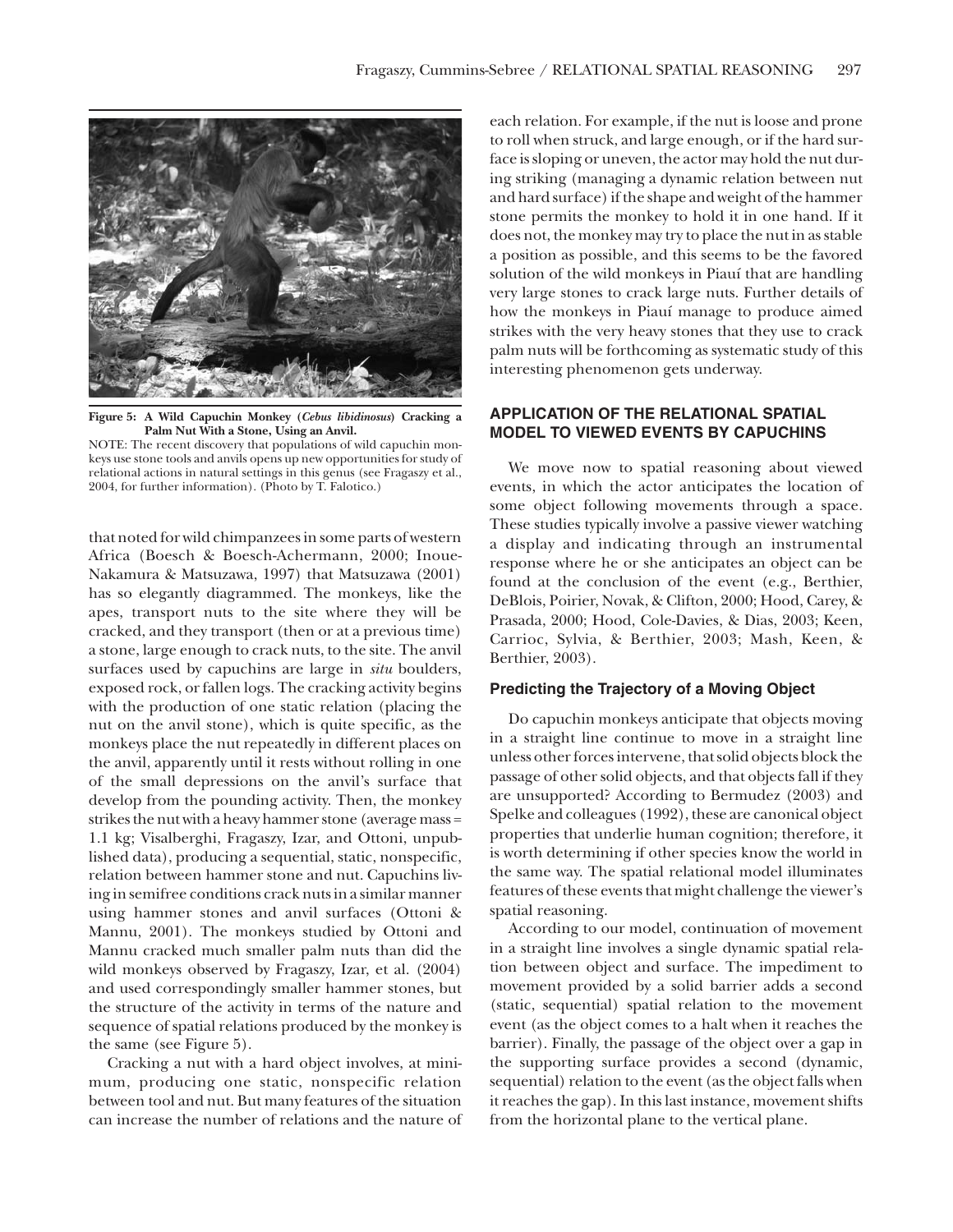

**Figure 5: A Wild Capuchin Monkey (***Cebus libidinosus***) Cracking a Palm Nut With a Stone, Using an Anvil.**

NOTE: The recent discovery that populations of wild capuchin monkeys use stone tools and anvils opens up new opportunities for study of relational actions in natural settings in this genus (see Fragaszy et al., 2004, for further information). (Photo by T. Falotico.)

that noted for wild chimpanzees in some parts of western Africa (Boesch & Boesch-Achermann, 2000; Inoue-Nakamura & Matsuzawa, 1997) that Matsuzawa (2001) has so elegantly diagrammed. The monkeys, like the apes, transport nuts to the site where they will be cracked, and they transport (then or at a previous time) a stone, large enough to crack nuts, to the site. The anvil surfaces used by capuchins are large in *situ* boulders, exposed rock, or fallen logs. The cracking activity begins with the production of one static relation (placing the nut on the anvil stone), which is quite specific, as the monkeys place the nut repeatedly in different places on the anvil, apparently until it rests without rolling in one of the small depressions on the anvil's surface that develop from the pounding activity. Then, the monkey strikes the nut with a heavy hammer stone (average mass = 1.1 kg; Visalberghi, Fragaszy, Izar, and Ottoni, unpublished data), producing a sequential, static, nonspecific, relation between hammer stone and nut. Capuchins living in semifree conditions crack nuts in a similar manner using hammer stones and anvil surfaces (Ottoni & Mannu, 2001). The monkeys studied by Ottoni and Mannu cracked much smaller palm nuts than did the wild monkeys observed by Fragaszy, Izar, et al. (2004) and used correspondingly smaller hammer stones, but the structure of the activity in terms of the nature and sequence of spatial relations produced by the monkey is the same (see Figure 5).

Cracking a nut with a hard object involves, at minimum, producing one static, nonspecific relation between tool and nut. But many features of the situation can increase the number of relations and the nature of each relation. For example, if the nut is loose and prone to roll when struck, and large enough, or if the hard surface is sloping or uneven, the actor may hold the nut during striking (managing a dynamic relation between nut and hard surface) if the shape and weight of the hammer stone permits the monkey to hold it in one hand. If it does not, the monkey may try to place the nut in as stable a position as possible, and this seems to be the favored solution of the wild monkeys in Piauí that are handling very large stones to crack large nuts. Further details of how the monkeys in Piauí manage to produce aimed strikes with the very heavy stones that they use to crack palm nuts will be forthcoming as systematic study of this interesting phenomenon gets underway.

# **APPLICATION OF THE RELATIONAL SPATIAL MODEL TO VIEWED EVENTS BY CAPUCHINS**

We move now to spatial reasoning about viewed events, in which the actor anticipates the location of some object following movements through a space. These studies typically involve a passive viewer watching a display and indicating through an instrumental response where he or she anticipates an object can be found at the conclusion of the event (e.g., Berthier, DeBlois, Poirier, Novak, & Clifton, 2000; Hood, Carey, & Prasada, 2000; Hood, Cole-Davies, & Dias, 2003; Keen, Carrioc, Sylvia, & Berthier, 2003; Mash, Keen, & Berthier, 2003).

## **Predicting the Trajectory of a Moving Object**

Do capuchin monkeys anticipate that objects moving in a straight line continue to move in a straight line unless other forces intervene, that solid objects block the passage of other solid objects, and that objects fall if they are unsupported? According to Bermudez (2003) and Spelke and colleagues (1992), these are canonical object properties that underlie human cognition; therefore, it is worth determining if other species know the world in the same way. The spatial relational model illuminates features of these events that might challenge the viewer's spatial reasoning.

According to our model, continuation of movement in a straight line involves a single dynamic spatial relation between object and surface. The impediment to movement provided by a solid barrier adds a second (static, sequential) spatial relation to the movement event (as the object comes to a halt when it reaches the barrier). Finally, the passage of the object over a gap in the supporting surface provides a second (dynamic, sequential) relation to the event (as the object falls when it reaches the gap). In this last instance, movement shifts from the horizontal plane to the vertical plane.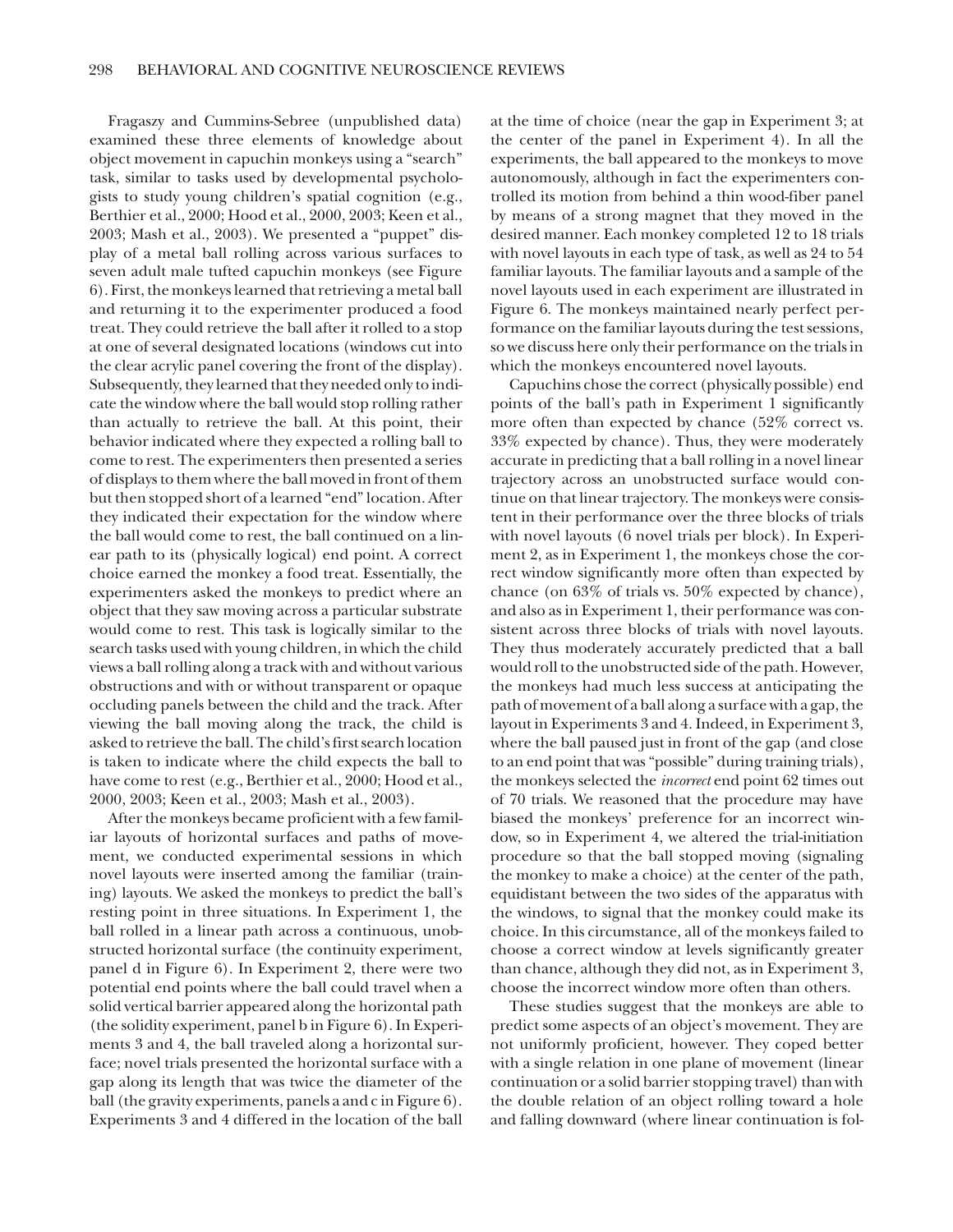Fragaszy and Cummins-Sebree (unpublished data) examined these three elements of knowledge about object movement in capuchin monkeys using a "search" task, similar to tasks used by developmental psychologists to study young children's spatial cognition (e.g., Berthier et al., 2000; Hood et al., 2000, 2003; Keen et al., 2003; Mash et al., 2003). We presented a "puppet" display of a metal ball rolling across various surfaces to seven adult male tufted capuchin monkeys (see Figure 6). First, the monkeys learned that retrieving a metal ball and returning it to the experimenter produced a food treat. They could retrieve the ball after it rolled to a stop at one of several designated locations (windows cut into the clear acrylic panel covering the front of the display). Subsequently, they learned that they needed only to indicate the window where the ball would stop rolling rather than actually to retrieve the ball. At this point, their behavior indicated where they expected a rolling ball to come to rest. The experimenters then presented a series of displays to them where the ball moved in front of them but then stopped short of a learned "end" location. After they indicated their expectation for the window where the ball would come to rest, the ball continued on a linear path to its (physically logical) end point. A correct choice earned the monkey a food treat. Essentially, the experimenters asked the monkeys to predict where an object that they saw moving across a particular substrate would come to rest. This task is logically similar to the search tasks used with young children, in which the child views a ball rolling along a track with and without various obstructions and with or without transparent or opaque occluding panels between the child and the track. After viewing the ball moving along the track, the child is asked to retrieve the ball. The child's first search location is taken to indicate where the child expects the ball to have come to rest (e.g., Berthier et al., 2000; Hood et al., 2000, 2003; Keen et al., 2003; Mash et al., 2003).

After the monkeys became proficient with a few familiar layouts of horizontal surfaces and paths of movement, we conducted experimental sessions in which novel layouts were inserted among the familiar (training) layouts. We asked the monkeys to predict the ball's resting point in three situations. In Experiment 1, the ball rolled in a linear path across a continuous, unobstructed horizontal surface (the continuity experiment, panel d in Figure 6). In Experiment 2, there were two potential end points where the ball could travel when a solid vertical barrier appeared along the horizontal path (the solidity experiment, panel b in Figure 6). In Experiments 3 and 4, the ball traveled along a horizontal surface; novel trials presented the horizontal surface with a gap along its length that was twice the diameter of the ball (the gravity experiments, panels a and c in Figure 6). Experiments 3 and 4 differed in the location of the ball

at the time of choice (near the gap in Experiment 3; at the center of the panel in Experiment 4). In all the experiments, the ball appeared to the monkeys to move autonomously, although in fact the experimenters controlled its motion from behind a thin wood-fiber panel by means of a strong magnet that they moved in the desired manner. Each monkey completed 12 to 18 trials with novel layouts in each type of task, as well as 24 to 54 familiar layouts. The familiar layouts and a sample of the novel layouts used in each experiment are illustrated in Figure 6. The monkeys maintained nearly perfect performance on the familiar layouts during the test sessions, so we discuss here only their performance on the trials in which the monkeys encountered novel layouts.

Capuchins chose the correct (physically possible) end points of the ball's path in Experiment 1 significantly more often than expected by chance (52% correct vs. 33% expected by chance). Thus, they were moderately accurate in predicting that a ball rolling in a novel linear trajectory across an unobstructed surface would continue on that linear trajectory. The monkeys were consistent in their performance over the three blocks of trials with novel layouts (6 novel trials per block). In Experiment 2, as in Experiment 1, the monkeys chose the correct window significantly more often than expected by chance (on 63% of trials vs. 50% expected by chance), and also as in Experiment 1, their performance was consistent across three blocks of trials with novel layouts. They thus moderately accurately predicted that a ball would roll to the unobstructed side of the path. However, the monkeys had much less success at anticipating the path of movement of a ball along a surface with a gap, the layout in Experiments 3 and 4. Indeed, in Experiment 3, where the ball paused just in front of the gap (and close to an end point that was "possible" during training trials), the monkeys selected the *incorrect* end point 62 times out of 70 trials. We reasoned that the procedure may have biased the monkeys' preference for an incorrect window, so in Experiment 4, we altered the trial-initiation procedure so that the ball stopped moving (signaling the monkey to make a choice) at the center of the path, equidistant between the two sides of the apparatus with the windows, to signal that the monkey could make its choice. In this circumstance, all of the monkeys failed to choose a correct window at levels significantly greater than chance, although they did not, as in Experiment 3, choose the incorrect window more often than others.

These studies suggest that the monkeys are able to predict some aspects of an object's movement. They are not uniformly proficient, however. They coped better with a single relation in one plane of movement (linear continuation or a solid barrier stopping travel) than with the double relation of an object rolling toward a hole and falling downward (where linear continuation is fol-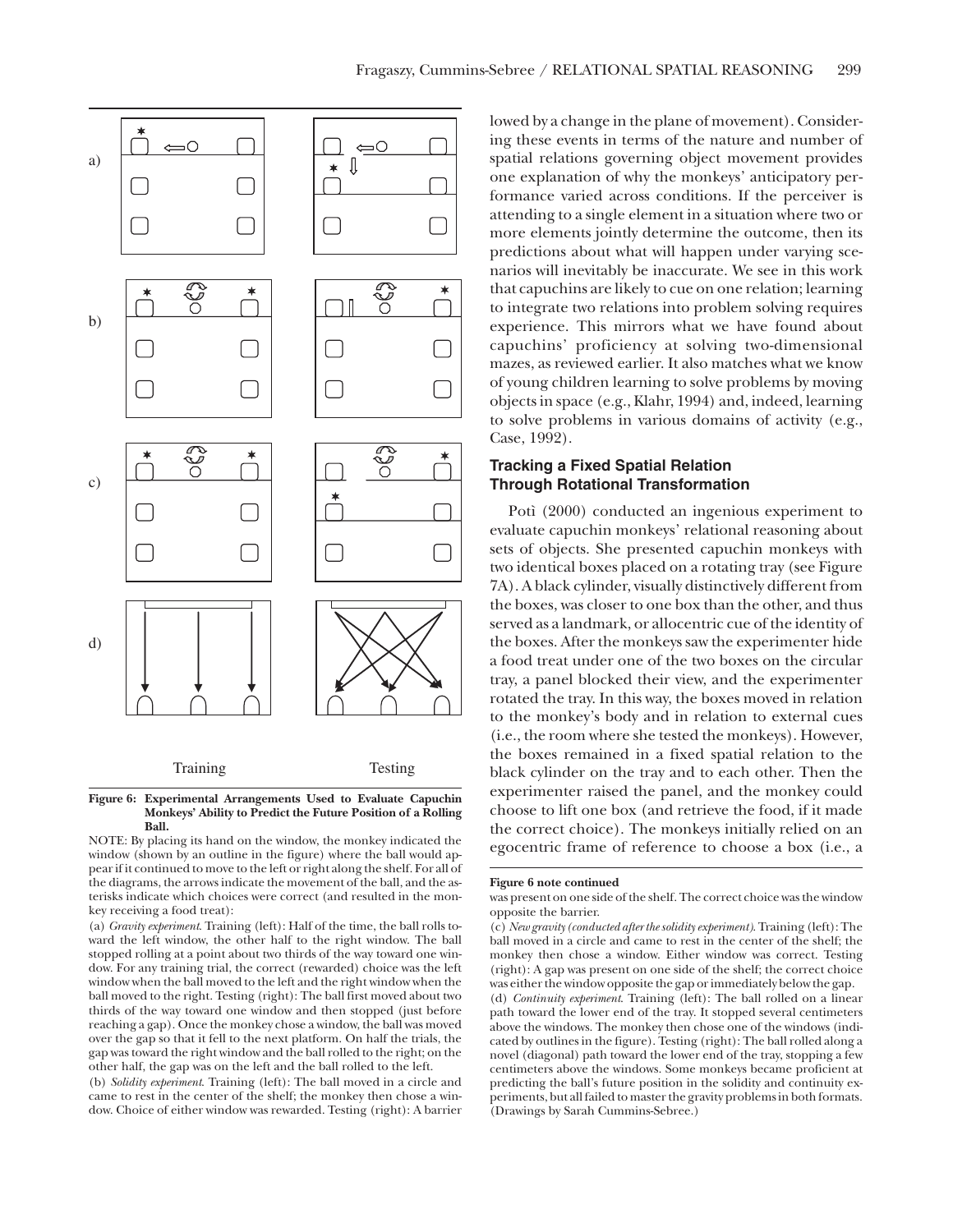

**Figure 6: Experimental Arrangements Used to Evaluate Capuchin Monkeys' Ability to Predict the Future Position of a Rolling Ball.**

NOTE: By placing its hand on the window, the monkey indicated the window (shown by an outline in the figure) where the ball would appear if it continued to move to the left or right along the shelf. For all of the diagrams, the arrows indicate the movement of the ball, and the asterisks indicate which choices were correct (and resulted in the monkey receiving a food treat):

(a) *Gravity experiment*. Training (left): Half of the time, the ball rolls toward the left window, the other half to the right window. The ball stopped rolling at a point about two thirds of the way toward one window. For any training trial, the correct (rewarded) choice was the left window when the ball moved to the left and the right window when the ball moved to the right. Testing (right): The ball first moved about two thirds of the way toward one window and then stopped (just before reaching a gap). Once the monkey chose a window, the ball was moved over the gap so that it fell to the next platform. On half the trials, the gap was toward the right window and the ball rolled to the right; on the other half, the gap was on the left and the ball rolled to the left.

(b) *Solidity experiment*. Training (left): The ball moved in a circle and came to rest in the center of the shelf; the monkey then chose a window. Choice of either window was rewarded. Testing (right): A barrier lowed by a change in the plane of movement). Considering these events in terms of the nature and number of spatial relations governing object movement provides one explanation of why the monkeys' anticipatory performance varied across conditions. If the perceiver is attending to a single element in a situation where two or more elements jointly determine the outcome, then its predictions about what will happen under varying scenarios will inevitably be inaccurate. We see in this work that capuchins are likely to cue on one relation; learning to integrate two relations into problem solving requires experience. This mirrors what we have found about capuchins' proficiency at solving two-dimensional mazes, as reviewed earlier. It also matches what we know of young children learning to solve problems by moving objects in space (e.g., Klahr, 1994) and, indeed, learning to solve problems in various domains of activity (e.g., Case, 1992).

## **Tracking a Fixed Spatial Relation Through Rotational Transformation**

Potì (2000) conducted an ingenious experiment to evaluate capuchin monkeys' relational reasoning about sets of objects. She presented capuchin monkeys with two identical boxes placed on a rotating tray (see Figure 7A). A black cylinder, visually distinctively different from the boxes, was closer to one box than the other, and thus served as a landmark, or allocentric cue of the identity of the boxes. After the monkeys saw the experimenter hide a food treat under one of the two boxes on the circular tray, a panel blocked their view, and the experimenter rotated the tray. In this way, the boxes moved in relation to the monkey's body and in relation to external cues (i.e., the room where she tested the monkeys). However, the boxes remained in a fixed spatial relation to the black cylinder on the tray and to each other. Then the experimenter raised the panel, and the monkey could choose to lift one box (and retrieve the food, if it made the correct choice). The monkeys initially relied on an egocentric frame of reference to choose a box (i.e., a

#### **Figure 6 note continued**

was present on one side of the shelf. The correct choice was the window opposite the barrier.

(c) *New gravity (conducted after the solidity experiment)*. Training (left): The ball moved in a circle and came to rest in the center of the shelf; the monkey then chose a window. Either window was correct. Testing (right): A gap was present on one side of the shelf; the correct choice was either the window opposite the gap or immediately below the gap.

(d) *Continuity experiment*. Training (left): The ball rolled on a linear path toward the lower end of the tray. It stopped several centimeters above the windows. The monkey then chose one of the windows (indicated by outlines in the figure). Testing (right): The ball rolled along a novel (diagonal) path toward the lower end of the tray, stopping a few centimeters above the windows. Some monkeys became proficient at predicting the ball's future position in the solidity and continuity experiments, but all failed to master the gravity problems in both formats. (Drawings by Sarah Cummins-Sebree.)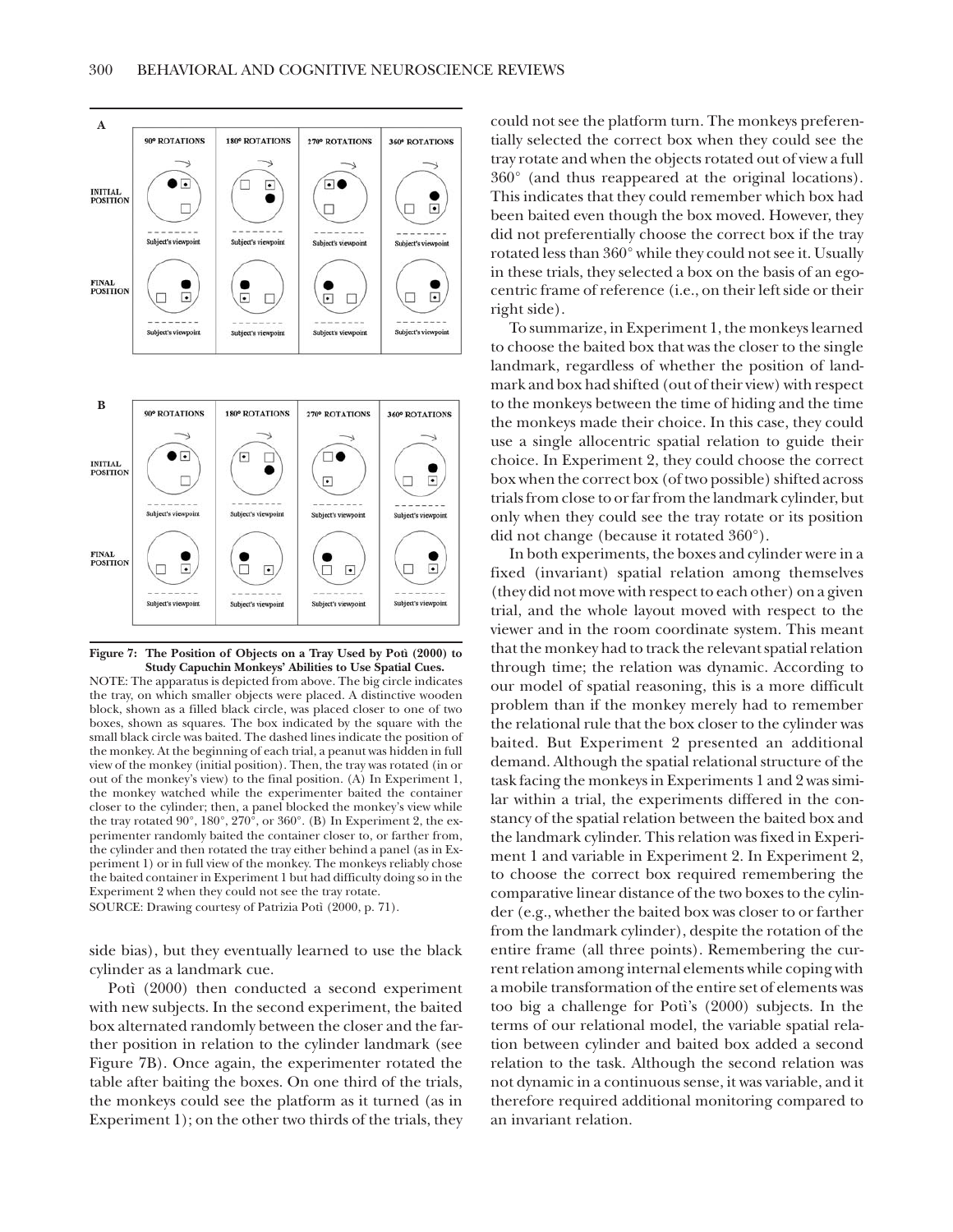

**Figure 7: The Position of Objects on a Tray Used by Potì (2000) to Study Capuchin Monkeys' Abilities to Use Spatial Cues.**

NOTE: The apparatus is depicted from above. The big circle indicates the tray, on which smaller objects were placed. A distinctive wooden block, shown as a filled black circle, was placed closer to one of two boxes, shown as squares. The box indicated by the square with the small black circle was baited. The dashed lines indicate the position of the monkey. At the beginning of each trial, a peanut was hidden in full view of the monkey (initial position). Then, the tray was rotated (in or out of the monkey's view) to the final position. (A) In Experiment 1, the monkey watched while the experimenter baited the container closer to the cylinder; then, a panel blocked the monkey's view while the tray rotated 90°, 180°, 270°, or 360°. (B) In Experiment 2, the experimenter randomly baited the container closer to, or farther from, the cylinder and then rotated the tray either behind a panel (as in Experiment 1) or in full view of the monkey. The monkeys reliably chose the baited container in Experiment 1 but had difficulty doing so in the Experiment 2 when they could not see the tray rotate. SOURCE: Drawing courtesy of Patrizia Potì (2000, p. 71).

side bias), but they eventually learned to use the black cylinder as a landmark cue.

Potì (2000) then conducted a second experiment with new subjects. In the second experiment, the baited box alternated randomly between the closer and the farther position in relation to the cylinder landmark (see Figure 7B). Once again, the experimenter rotated the table after baiting the boxes. On one third of the trials, the monkeys could see the platform as it turned (as in Experiment 1); on the other two thirds of the trials, they

could not see the platform turn. The monkeys preferentially selected the correct box when they could see the tray rotate and when the objects rotated out of view a full 360° (and thus reappeared at the original locations). This indicates that they could remember which box had been baited even though the box moved. However, they did not preferentially choose the correct box if the tray rotated less than 360° while they could not see it. Usually in these trials, they selected a box on the basis of an egocentric frame of reference (i.e., on their left side or their right side).

To summarize, in Experiment 1, the monkeys learned to choose the baited box that was the closer to the single landmark, regardless of whether the position of landmark and box had shifted (out of their view) with respect to the monkeys between the time of hiding and the time the monkeys made their choice. In this case, they could use a single allocentric spatial relation to guide their choice. In Experiment 2, they could choose the correct box when the correct box (of two possible) shifted across trials from close to or far from the landmark cylinder, but only when they could see the tray rotate or its position did not change (because it rotated 360°).

In both experiments, the boxes and cylinder were in a fixed (invariant) spatial relation among themselves (they did not move with respect to each other) on a given trial, and the whole layout moved with respect to the viewer and in the room coordinate system. This meant that the monkey had to track the relevant spatial relation through time; the relation was dynamic. According to our model of spatial reasoning, this is a more difficult problem than if the monkey merely had to remember the relational rule that the box closer to the cylinder was baited. But Experiment 2 presented an additional demand. Although the spatial relational structure of the task facing the monkeys in Experiments 1 and 2 was similar within a trial, the experiments differed in the constancy of the spatial relation between the baited box and the landmark cylinder. This relation was fixed in Experiment 1 and variable in Experiment 2. In Experiment 2, to choose the correct box required remembering the comparative linear distance of the two boxes to the cylinder (e.g., whether the baited box was closer to or farther from the landmark cylinder), despite the rotation of the entire frame (all three points). Remembering the current relation among internal elements while coping with a mobile transformation of the entire set of elements was too big a challenge for Potì's (2000) subjects. In the terms of our relational model, the variable spatial relation between cylinder and baited box added a second relation to the task. Although the second relation was not dynamic in a continuous sense, it was variable, and it therefore required additional monitoring compared to an invariant relation.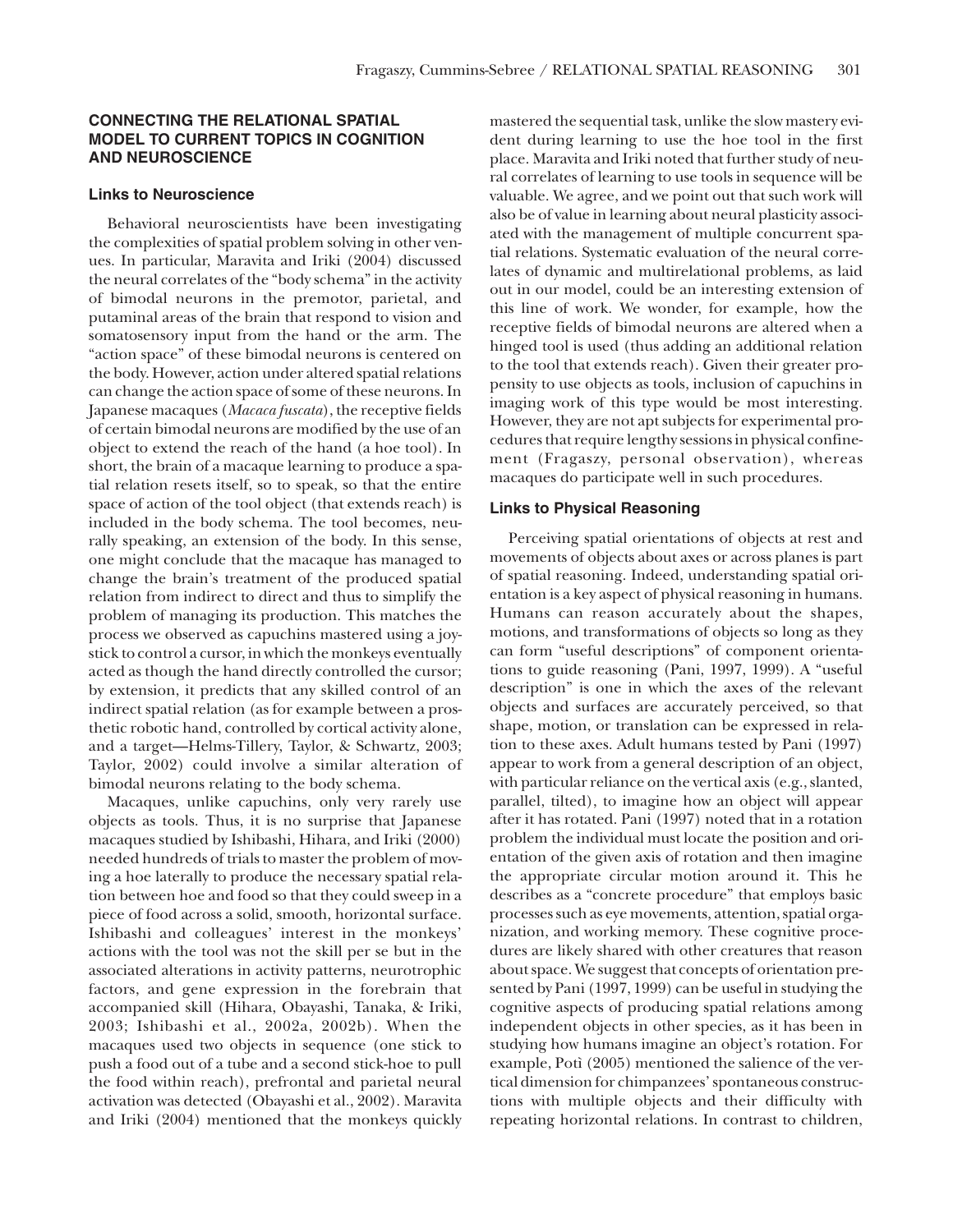## **CONNECTING THE RELATIONAL SPATIAL MODEL TO CURRENT TOPICS IN COGNITION AND NEUROSCIENCE**

#### **Links to Neuroscience**

Behavioral neuroscientists have been investigating the complexities of spatial problem solving in other venues. In particular, Maravita and Iriki (2004) discussed the neural correlates of the "body schema" in the activity of bimodal neurons in the premotor, parietal, and putaminal areas of the brain that respond to vision and somatosensory input from the hand or the arm. The "action space" of these bimodal neurons is centered on the body. However, action under altered spatial relations can change the action space of some of these neurons. In Japanese macaques (*Macaca fuscata*), the receptive fields of certain bimodal neurons are modified by the use of an object to extend the reach of the hand (a hoe tool). In short, the brain of a macaque learning to produce a spatial relation resets itself, so to speak, so that the entire space of action of the tool object (that extends reach) is included in the body schema. The tool becomes, neurally speaking, an extension of the body. In this sense, one might conclude that the macaque has managed to change the brain's treatment of the produced spatial relation from indirect to direct and thus to simplify the problem of managing its production. This matches the process we observed as capuchins mastered using a joystick to control a cursor, in which the monkeys eventually acted as though the hand directly controlled the cursor; by extension, it predicts that any skilled control of an indirect spatial relation (as for example between a prosthetic robotic hand, controlled by cortical activity alone, and a target—Helms-Tillery, Taylor, & Schwartz, 2003; Taylor, 2002) could involve a similar alteration of bimodal neurons relating to the body schema.

Macaques, unlike capuchins, only very rarely use objects as tools. Thus, it is no surprise that Japanese macaques studied by Ishibashi, Hihara, and Iriki (2000) needed hundreds of trials to master the problem of moving a hoe laterally to produce the necessary spatial relation between hoe and food so that they could sweep in a piece of food across a solid, smooth, horizontal surface. Ishibashi and colleagues' interest in the monkeys' actions with the tool was not the skill per se but in the associated alterations in activity patterns, neurotrophic factors, and gene expression in the forebrain that accompanied skill (Hihara, Obayashi, Tanaka, & Iriki, 2003; Ishibashi et al., 2002a, 2002b). When the macaques used two objects in sequence (one stick to push a food out of a tube and a second stick-hoe to pull the food within reach), prefrontal and parietal neural activation was detected (Obayashi et al., 2002). Maravita and Iriki (2004) mentioned that the monkeys quickly mastered the sequential task, unlike the slow mastery evident during learning to use the hoe tool in the first place. Maravita and Iriki noted that further study of neural correlates of learning to use tools in sequence will be valuable. We agree, and we point out that such work will also be of value in learning about neural plasticity associated with the management of multiple concurrent spatial relations. Systematic evaluation of the neural correlates of dynamic and multirelational problems, as laid out in our model, could be an interesting extension of this line of work. We wonder, for example, how the receptive fields of bimodal neurons are altered when a hinged tool is used (thus adding an additional relation to the tool that extends reach). Given their greater propensity to use objects as tools, inclusion of capuchins in imaging work of this type would be most interesting. However, they are not apt subjects for experimental procedures that require lengthy sessions in physical confinement (Fragaszy, personal observation), whereas macaques do participate well in such procedures.

#### **Links to Physical Reasoning**

Perceiving spatial orientations of objects at rest and movements of objects about axes or across planes is part of spatial reasoning. Indeed, understanding spatial orientation is a key aspect of physical reasoning in humans. Humans can reason accurately about the shapes, motions, and transformations of objects so long as they can form "useful descriptions" of component orientations to guide reasoning (Pani, 1997, 1999). A "useful description" is one in which the axes of the relevant objects and surfaces are accurately perceived, so that shape, motion, or translation can be expressed in relation to these axes. Adult humans tested by Pani (1997) appear to work from a general description of an object, with particular reliance on the vertical axis (e.g., slanted, parallel, tilted), to imagine how an object will appear after it has rotated. Pani (1997) noted that in a rotation problem the individual must locate the position and orientation of the given axis of rotation and then imagine the appropriate circular motion around it. This he describes as a "concrete procedure" that employs basic processes such as eye movements, attention, spatial organization, and working memory. These cognitive procedures are likely shared with other creatures that reason about space. We suggest that concepts of orientation presented by Pani (1997, 1999) can be useful in studying the cognitive aspects of producing spatial relations among independent objects in other species, as it has been in studying how humans imagine an object's rotation. For example, Potì (2005) mentioned the salience of the vertical dimension for chimpanzees' spontaneous constructions with multiple objects and their difficulty with repeating horizontal relations. In contrast to children,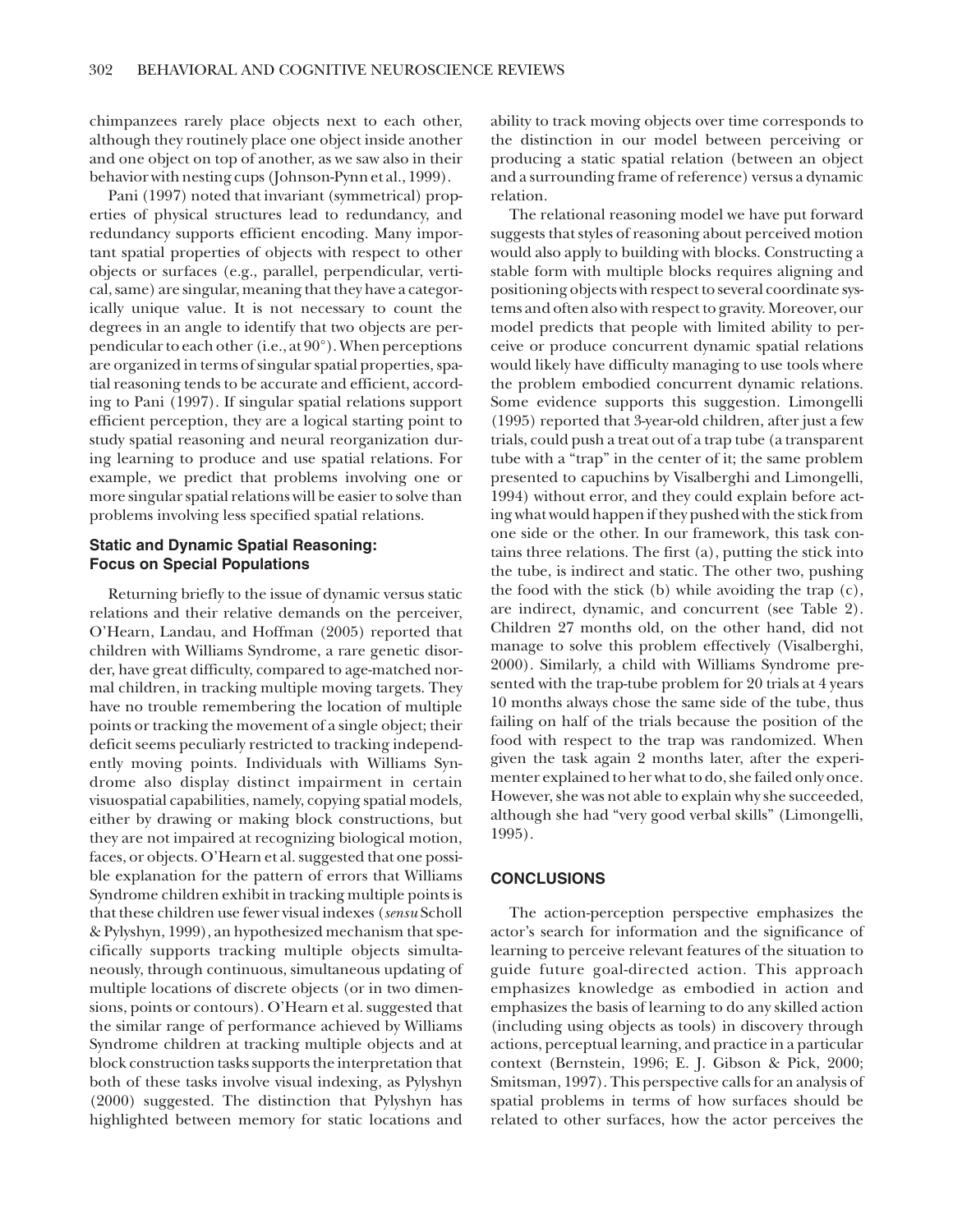chimpanzees rarely place objects next to each other, although they routinely place one object inside another and one object on top of another, as we saw also in their behavior with nesting cups (Johnson-Pynn et al., 1999).

Pani (1997) noted that invariant (symmetrical) properties of physical structures lead to redundancy, and redundancy supports efficient encoding. Many important spatial properties of objects with respect to other objects or surfaces (e.g., parallel, perpendicular, vertical, same) are singular, meaning that they have a categorically unique value. It is not necessary to count the degrees in an angle to identify that two objects are perpendicular to each other (i.e., at 90°). When perceptions are organized in terms of singular spatial properties, spatial reasoning tends to be accurate and efficient, according to Pani (1997). If singular spatial relations support efficient perception, they are a logical starting point to study spatial reasoning and neural reorganization during learning to produce and use spatial relations. For example, we predict that problems involving one or more singular spatial relations will be easier to solve than problems involving less specified spatial relations.

## **Static and Dynamic Spatial Reasoning: Focus on Special Populations**

Returning briefly to the issue of dynamic versus static relations and their relative demands on the perceiver, O'Hearn, Landau, and Hoffman (2005) reported that children with Williams Syndrome, a rare genetic disorder, have great difficulty, compared to age-matched normal children, in tracking multiple moving targets. They have no trouble remembering the location of multiple points or tracking the movement of a single object; their deficit seems peculiarly restricted to tracking independently moving points. Individuals with Williams Syndrome also display distinct impairment in certain visuospatial capabilities, namely, copying spatial models, either by drawing or making block constructions, but they are not impaired at recognizing biological motion, faces, or objects. O'Hearn et al. suggested that one possible explanation for the pattern of errors that Williams Syndrome children exhibit in tracking multiple points is that these children use fewer visual indexes (*sensu* Scholl & Pylyshyn, 1999), an hypothesized mechanism that specifically supports tracking multiple objects simultaneously, through continuous, simultaneous updating of multiple locations of discrete objects (or in two dimensions, points or contours). O'Hearn et al. suggested that the similar range of performance achieved by Williams Syndrome children at tracking multiple objects and at block construction tasks supports the interpretation that both of these tasks involve visual indexing, as Pylyshyn (2000) suggested. The distinction that Pylyshyn has highlighted between memory for static locations and

ability to track moving objects over time corresponds to the distinction in our model between perceiving or producing a static spatial relation (between an object and a surrounding frame of reference) versus a dynamic relation.

The relational reasoning model we have put forward suggests that styles of reasoning about perceived motion would also apply to building with blocks. Constructing a stable form with multiple blocks requires aligning and positioning objects with respect to several coordinate systems and often also with respect to gravity. Moreover, our model predicts that people with limited ability to perceive or produce concurrent dynamic spatial relations would likely have difficulty managing to use tools where the problem embodied concurrent dynamic relations. Some evidence supports this suggestion. Limongelli (1995) reported that 3-year-old children, after just a few trials, could push a treat out of a trap tube (a transparent tube with a "trap" in the center of it; the same problem presented to capuchins by Visalberghi and Limongelli, 1994) without error, and they could explain before acting what would happen if they pushed with the stick from one side or the other. In our framework, this task contains three relations. The first (a), putting the stick into the tube, is indirect and static. The other two, pushing the food with the stick (b) while avoiding the trap (c), are indirect, dynamic, and concurrent (see Table 2). Children 27 months old, on the other hand, did not manage to solve this problem effectively (Visalberghi, 2000). Similarly, a child with Williams Syndrome presented with the trap-tube problem for 20 trials at 4 years 10 months always chose the same side of the tube, thus failing on half of the trials because the position of the food with respect to the trap was randomized. When given the task again 2 months later, after the experimenter explained to her what to do, she failed only once. However, she was not able to explain why she succeeded, although she had "very good verbal skills" (Limongelli, 1995).

## **CONCLUSIONS**

The action-perception perspective emphasizes the actor's search for information and the significance of learning to perceive relevant features of the situation to guide future goal-directed action. This approach emphasizes knowledge as embodied in action and emphasizes the basis of learning to do any skilled action (including using objects as tools) in discovery through actions, perceptual learning, and practice in a particular context (Bernstein, 1996; E. J. Gibson & Pick, 2000; Smitsman, 1997). This perspective calls for an analysis of spatial problems in terms of how surfaces should be related to other surfaces, how the actor perceives the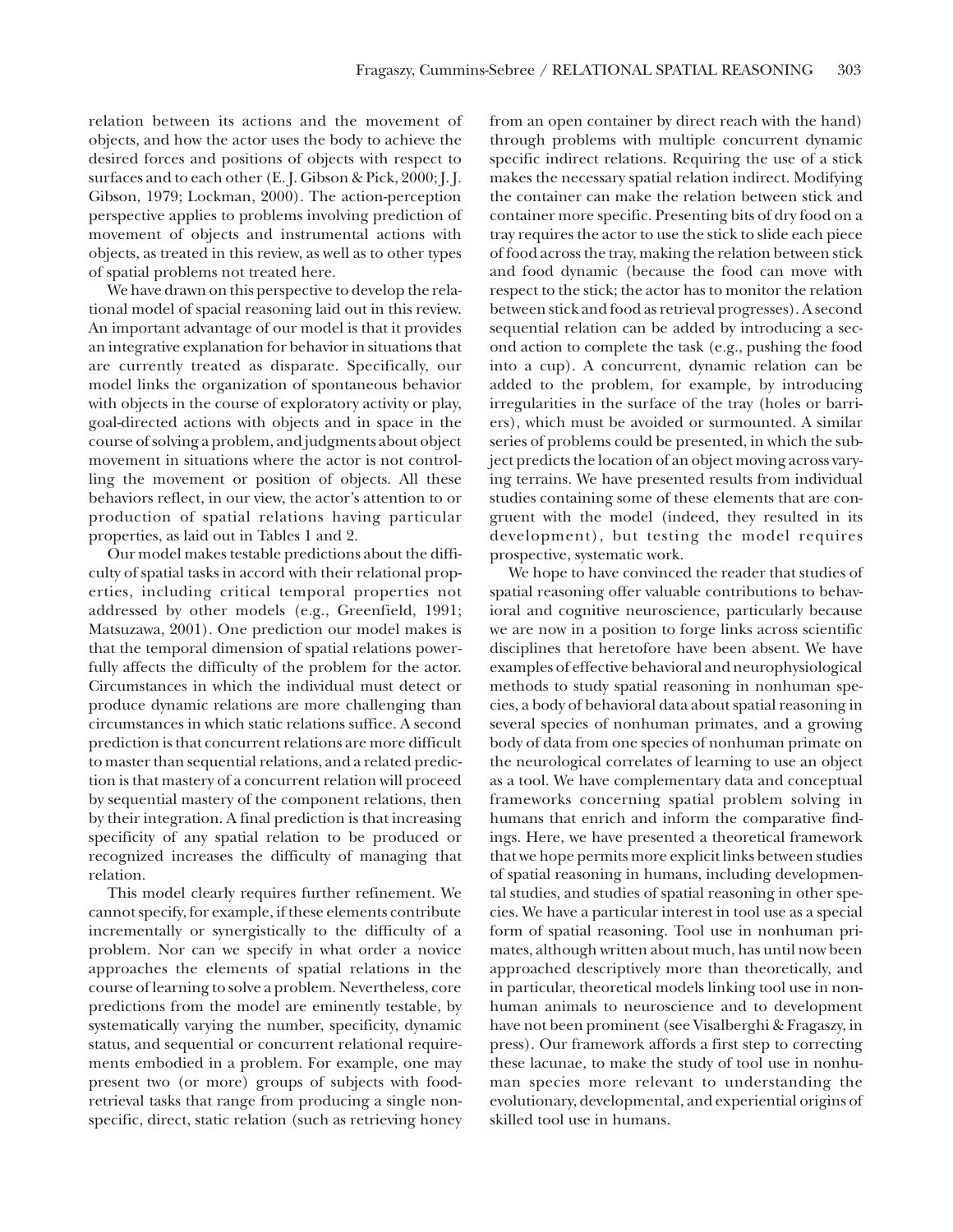relation between its actions and the movement of objects, and how the actor uses the body to achieve the desired forces and positions of objects with respect to surfaces and to each other (E. J. Gibson & Pick, 2000; J. J. Gibson, 1979; Lockman, 2000). The action-perception perspective applies to problems involving prediction of movement of objects and instrumental actions with objects, as treated in this review, as well as to other types of spatial problems not treated here.

We have drawn on this perspective to develop the relational model of spacial reasoning laid out in this review. An important advantage of our model is that it provides an integrative explanation for behavior in situations that are currently treated as disparate. Specifically, our model links the organization of spontaneous behavior with objects in the course of exploratory activity or play, goal-directed actions with objects and in space in the course of solving a problem, and judgments about object movement in situations where the actor is not controlling the movement or position of objects. All these behaviors reflect, in our view, the actor's attention to or production of spatial relations having particular properties, as laid out in Tables 1 and 2.

Our model makes testable predictions about the difficulty of spatial tasks in accord with their relational properties, including critical temporal properties not addressed by other models (e.g., Greenfield, 1991; Matsuzawa, 2001). One prediction our model makes is that the temporal dimension of spatial relations powerfully affects the difficulty of the problem for the actor. Circumstances in which the individual must detect or produce dynamic relations are more challenging than circumstances in which static relations suffice. A second prediction is that concurrent relations are more difficult to master than sequential relations, and a related prediction is that mastery of a concurrent relation will proceed by sequential mastery of the component relations, then by their integration. A final prediction is that increasing specificity of any spatial relation to be produced or recognized increases the difficulty of managing that relation.

This model clearly requires further refinement. We cannot specify, for example, if these elements contribute incrementally or synergistically to the difficulty of a problem. Nor can we specify in what order a novice approaches the elements of spatial relations in the course of learning to solve a problem. Nevertheless, core predictions from the model are eminently testable, by systematically varying the number, specificity, dynamic status, and sequential or concurrent relational requirements embodied in a problem. For example, one may present two (or more) groups of subjects with foodretrieval tasks that range from producing a single nonspecific, direct, static relation (such as retrieving honey from an open container by direct reach with the hand) through problems with multiple concurrent dynamic specific indirect relations. Requiring the use of a stick makes the necessary spatial relation indirect. Modifying the container can make the relation between stick and container more specific. Presenting bits of dry food on a tray requires the actor to use the stick to slide each piece of food across the tray, making the relation between stick and food dynamic (because the food can move with respect to the stick; the actor has to monitor the relation between stick and food as retrieval progresses). A second sequential relation can be added by introducing a second action to complete the task (e.g., pushing the food into a cup). A concurrent, dynamic relation can be added to the problem, for example, by introducing irregularities in the surface of the tray (holes or barriers), which must be avoided or surmounted. A similar series of problems could be presented, in which the subject predicts the location of an object moving across varying terrains. We have presented results from individual studies containing some of these elements that are congruent with the model (indeed, they resulted in its development), but testing the model requires prospective, systematic work.

We hope to have convinced the reader that studies of spatial reasoning offer valuable contributions to behavioral and cognitive neuroscience, particularly because we are now in a position to forge links across scientific disciplines that heretofore have been absent. We have examples of effective behavioral and neurophysiological methods to study spatial reasoning in nonhuman species, a body of behavioral data about spatial reasoning in several species of nonhuman primates, and a growing body of data from one species of nonhuman primate on the neurological correlates of learning to use an object as a tool. We have complementary data and conceptual frameworks concerning spatial problem solving in humans that enrich and inform the comparative findings. Here, we have presented a theoretical framework that we hope permits more explicit links between studies of spatial reasoning in humans, including developmental studies, and studies of spatial reasoning in other species. We have a particular interest in tool use as a special form of spatial reasoning. Tool use in nonhuman primates, although written about much, has until now been approached descriptively more than theoretically, and in particular, theoretical models linking tool use in nonhuman animals to neuroscience and to development have not been prominent (see Visalberghi & Fragaszy, in press). Our framework affords a first step to correcting these lacunae, to make the study of tool use in nonhuman species more relevant to understanding the evolutionary, developmental, and experiential origins of skilled tool use in humans.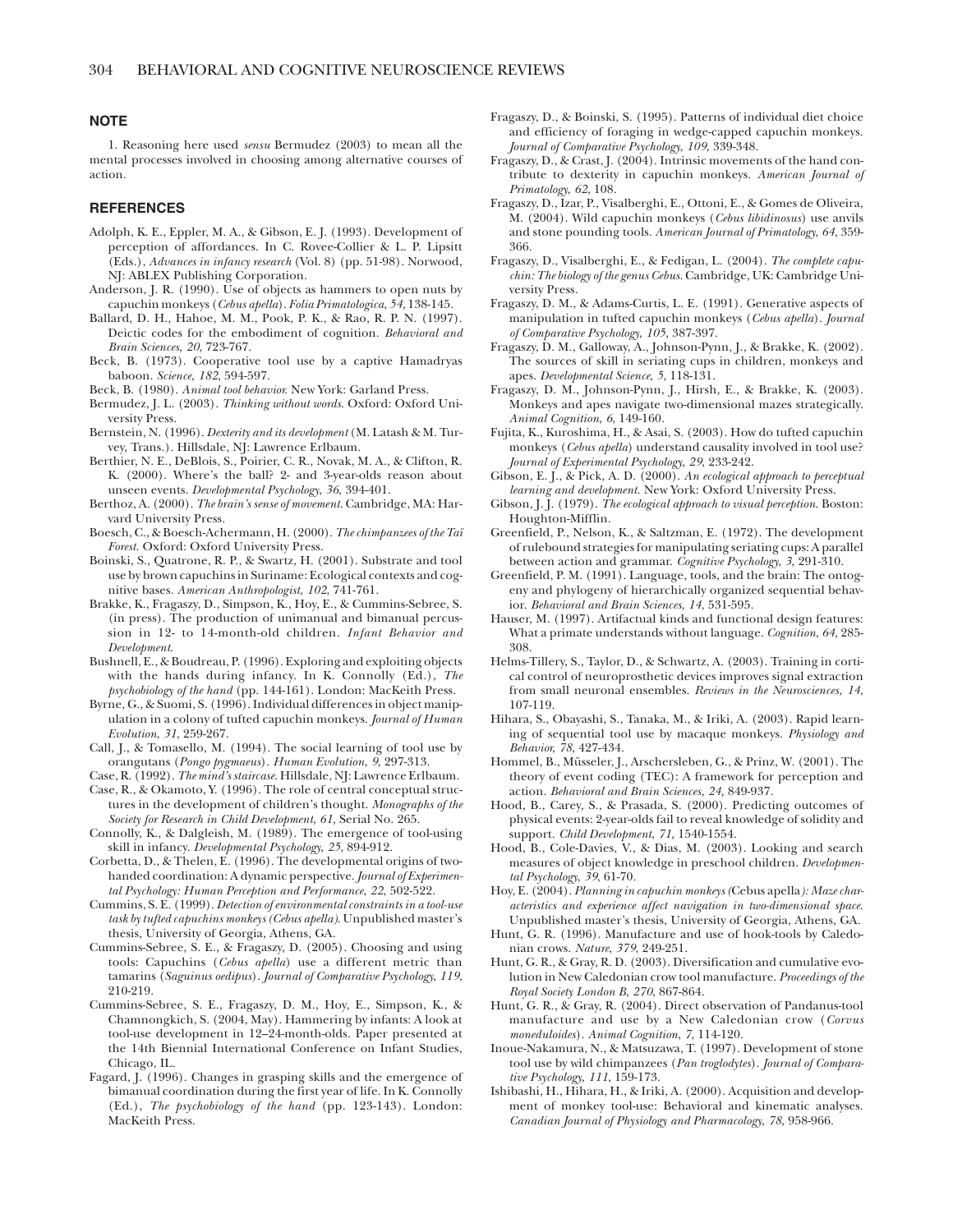#### **NOTE**

1. Reasoning here used *sensu* Bermudez (2003) to mean all the mental processes involved in choosing among alternative courses of action.

#### **REFERENCES**

- Adolph, K. E., Eppler, M. A., & Gibson, E. J. (1993). Development of perception of affordances. In C. Rovee-Collier & L. P. Lipsitt (Eds.), *Advances in infancy research* (Vol. 8) (pp. 51-98). Norwood, NJ: ABLEX Publishing Corporation.
- Anderson, J. R. (1990). Use of objects as hammers to open nuts by capuchin monkeys (*Cebus apella*). *Folia Primatologica*, *54*, 138-145.
- Ballard, D. H., Hahoe, M. M., Pook, P. K., & Rao, R. P. N. (1997). Deictic codes for the embodiment of cognition. *Behavioral and Brain Sciences*, *20*, 723-767.
- Beck, B. (1973). Cooperative tool use by a captive Hamadryas baboon. *Science*, *182*, 594-597.
- Beck, B. (1980). *Animal tool behavior*. New York: Garland Press.
- Bermudez, J. L. (2003). *Thinking without words*. Oxford: Oxford University Press.
- Bernstein, N. (1996). *Dexterity and its development* (M. Latash & M. Turvey, Trans.). Hillsdale, NJ: Lawrence Erlbaum.
- Berthier, N. E., DeBlois, S., Poirier, C. R., Novak, M. A., & Clifton, R. K. (2000). Where's the ball? 2- and 3-year-olds reason about unseen events. *Developmental Psychology*, *36*, 394-401.
- Berthoz, A. (2000). *The brain's sense of movement*. Cambridge, MA: Harvard University Press.
- Boesch, C., & Boesch-Achermann, H. (2000). *The chimpanzees of the Taï Forest*. Oxford: Oxford University Press.
- Boinski, S., Quatrone, R. P., & Swartz, H. (2001). Substrate and tool use by brown capuchins in Suriname: Ecological contexts and cognitive bases. *American Anthropologist*, *102*, 741-761.
- Brakke, K., Fragaszy, D., Simpson, K., Hoy, E., & Cummins-Sebree, S. (in press). The production of unimanual and bimanual percussion in 12- to 14-month-old children. *Infant Behavior and Development*.
- Bushnell, E., & Boudreau, P. (1996). Exploring and exploiting objects with the hands during infancy. In K. Connolly (Ed.), *The psychobiology of the hand* (pp. 144-161). London: MacKeith Press.
- Byrne, G., & Suomi, S. (1996). Individual differences in object manipulation in a colony of tufted capuchin monkeys. *Journal of Human Evolution*, *31*, 259-267.
- Call, J., & Tomasello, M. (1994). The social learning of tool use by orangutans (*Pongo pygmaeus*). *Human Evolution*, *9*, 297-313.

Case, R. (1992). *The mind's staircase*. Hillsdale, NJ: Lawrence Erlbaum.

- Case, R., & Okamoto, Y. (1996). The role of central conceptual structures in the development of children's thought. *Monographs of the Society for Research in Child Development*, *61*, Serial No. 265.
- Connolly, K., & Dalgleish, M. (1989). The emergence of tool-using skill in infancy. *Developmental Psychology*, *25*, 894-912.
- Corbetta, D., & Thelen, E. (1996). The developmental origins of twohanded coordination: A dynamic perspective. *Journal of Experimental Psychology: Human Perception and Performance*, *22*, 502-522.
- Cummins, S. E. (1999). *Detection of environmental constraints in a tool-use task by tufted capuchins monkeys (Cebus apella)*. Unpublished master's thesis, University of Georgia, Athens, GA.
- Cummins-Sebree, S. E., & Fragaszy, D. (2005). Choosing and using tools: Capuchins (*Cebus apella*) use a different metric than tamarins (*Saguinus oedipus*). *Journal of Comparative Psychology*, *119*, 210-219.
- Cummins-Sebree, S. E., Fragaszy, D. M., Hoy, E., Simpson, K., & Chamnongkich, S. (2004, May). Hammering by infants: A look at tool-use development in 12–24-month-olds. Paper presented at the 14th Biennial International Conference on Infant Studies, Chicago, IL.
- Fagard, J. (1996). Changes in grasping skills and the emergence of bimanual coordination during the first year of life. In K. Connolly (Ed.), *The psychobiology of the hand* (pp. 123-143). London: MacKeith Press.
- Fragaszy, D., & Boinski, S. (1995). Patterns of individual diet choice and efficiency of foraging in wedge-capped capuchin monkeys. *Journal of Comparative Psychology*, *109*, 339-348.
- Fragaszy, D., & Crast, J. (2004). Intrinsic movements of the hand contribute to dexterity in capuchin monkeys. *American Journal of Primatology*, *62*, 108.
- Fragaszy, D., Izar, P., Visalberghi, E., Ottoni, E., & Gomes de Oliveira, M. (2004). Wild capuchin monkeys (*Cebus libidinosus*) use anvils and stone pounding tools. *American Journal of Primatology*, *64*, 359- 366.
- Fragaszy, D., Visalberghi, E., & Fedigan, L. (2004). *The complete capuchin: The biology of the genus Cebus*. Cambridge, UK: Cambridge University Press.
- Fragaszy, D. M., & Adams-Curtis, L. E. (1991). Generative aspects of manipulation in tufted capuchin monkeys (*Cebus apella*). *Journal of Comparative Psychology*, *105*, 387-397.
- Fragaszy, D. M., Galloway, A., Johnson-Pynn, J., & Brakke, K. (2002). The sources of skill in seriating cups in children, monkeys and apes. *Developmental Science*, *5*, 118-131.
- Fragaszy, D. M., Johnson-Pynn, J., Hirsh, E., & Brakke, K. (2003). Monkeys and apes navigate two-dimensional mazes strategically. *Animal Cognition*, *6*, 149-160.
- Fujita, K., Kuroshima, H., & Asai, S. (2003). How do tufted capuchin monkeys (*Cebus apella*) understand causality involved in tool use? *Journal of Experimental Psychology*, *29*, 233-242.
- Gibson, E. J., & Pick, A. D. (2000). *An ecological approach to perceptual learning and development*. New York: Oxford University Press.
- Gibson, J. J. (1979). *The ecological approach to visual perception*. Boston: Houghton-Mifflin.
- Greenfield, P., Nelson, K., & Saltzman, E. (1972). The development of rulebound strategies for manipulating seriating cups: A parallel between action and grammar. *Cognitive Psychology*, *3*, 291-310.
- Greenfield, P. M. (1991). Language, tools, and the brain: The ontogeny and phylogeny of hierarchically organized sequential behavior. *Behavioral and Brain Sciences*, *14*, 531-595.
- Hauser, M. (1997). Artifactual kinds and functional design features: What a primate understands without language. *Cognition*, *64*, 285- 308.
- Helms-Tillery, S., Taylor, D., & Schwartz, A. (2003). Training in cortical control of neuroprosthetic devices improves signal extraction from small neuronal ensembles. *Reviews in the Neurosciences*, *14*, 107-119.
- Hihara, S., Obayashi, S., Tanaka, M., & Iriki, A. (2003). Rapid learning of sequential tool use by macaque monkeys. *Physiology and Behavior*, *78*, 427-434.
- Hommel, B., Müsseler, J., Arschersleben, G., & Prinz, W. (2001). The theory of event coding (TEC): A framework for perception and action. *Behavioral and Brain Sciences*, *24*, 849-937.
- Hood, B., Carey, S., & Prasada, S. (2000). Predicting outcomes of physical events: 2-year-olds fail to reveal knowledge of solidity and support. *Child Development*, *71*, 1540-1554.
- Hood, B., Cole-Davies, V., & Dias, M. (2003). Looking and search measures of object knowledge in preschool children. *Developmental Psychology*, *39*, 61-70.
- Hoy, E. (2004). *Planning in capuchin monkeys (*Cebus apella*): Maze characteristics and experience affect navigation in two-dimensional space*. Unpublished master's thesis, University of Georgia, Athens, GA.
- Hunt, G. R. (1996). Manufacture and use of hook-tools by Caledonian crows. *Nature*, *379*, 249-251.
- Hunt, G. R., & Gray, R. D. (2003). Diversification and cumulative evolution in New Caledonian crow tool manufacture. *Proceedings of the Royal Society London B*, *270*, 867-864.
- Hunt, G. R., & Gray, R. (2004). Direct observation of Pandanus-tool manufacture and use by a New Caledonian crow (*Corvus moneduloides*). *Animal Cognition*, *7*, 114-120.
- Inoue-Nakamura, N., & Matsuzawa, T. (1997). Development of stone tool use by wild chimpanzees (*Pan troglodytes*). *Journal of Comparative Psychology*, *111*, 159-173.
- Ishibashi, H., Hihara, H., & Iriki, A. (2000). Acquisition and development of monkey tool-use: Behavioral and kinematic analyses. *Canadian Journal of Physiology and Pharmacology*, *78*, 958-966.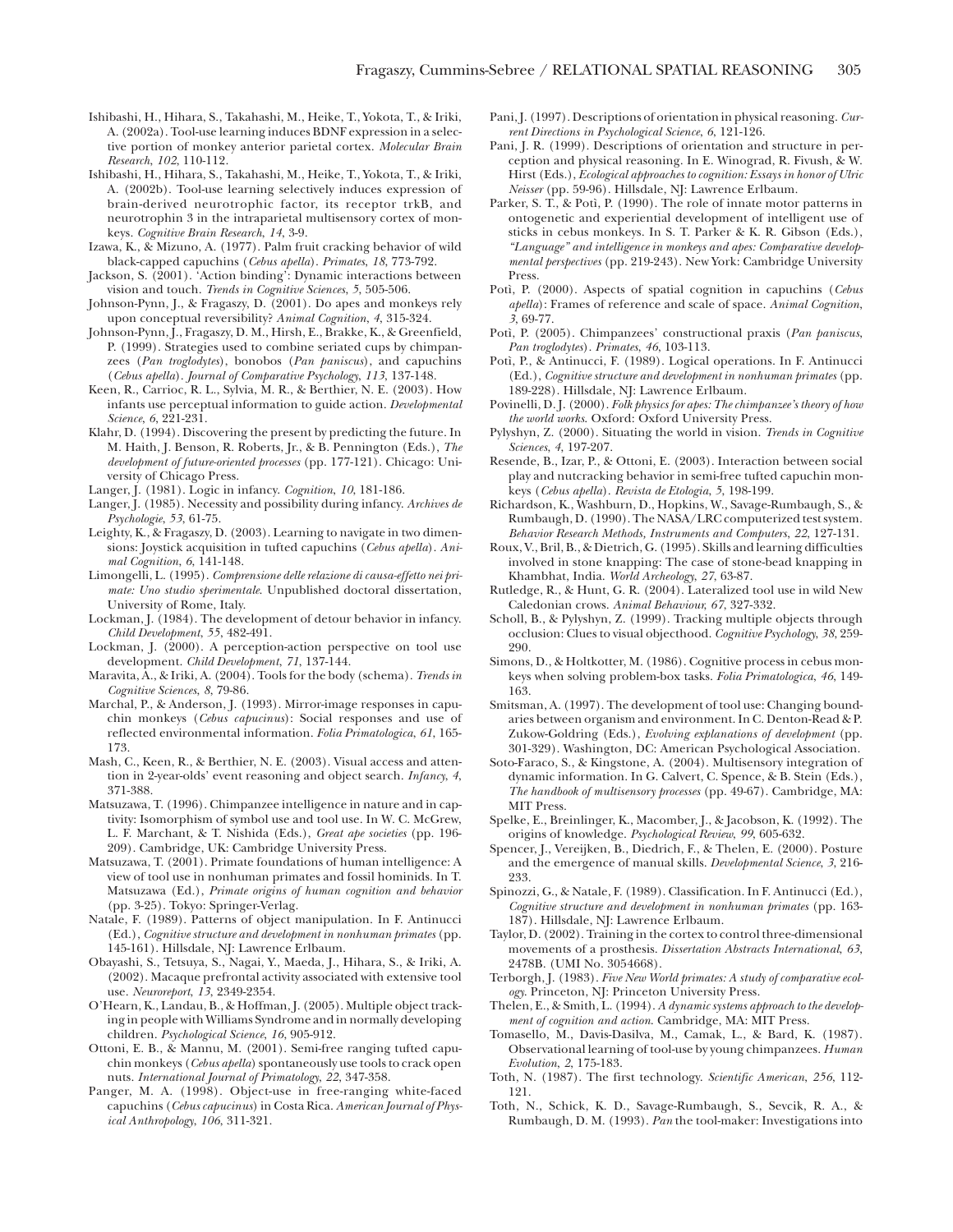- Ishibashi, H., Hihara, S., Takahashi, M., Heike, T., Yokota, T., & Iriki, A. (2002a). Tool-use learning induces BDNF expression in a selective portion of monkey anterior parietal cortex. *Molecular Brain Research*, *102*, 110-112.
- Ishibashi, H., Hihara, S., Takahashi, M., Heike, T., Yokota, T., & Iriki, A. (2002b). Tool-use learning selectively induces expression of brain-derived neurotrophic factor, its receptor trkB, and neurotrophin 3 in the intraparietal multisensory cortex of monkeys. *Cognitive Brain Research*, *14*, 3-9.
- Izawa, K., & Mizuno, A. (1977). Palm fruit cracking behavior of wild black-capped capuchins (*Cebus apella*). *Primates*, *18*, 773-792.
- Jackson, S. (2001). 'Action binding': Dynamic interactions between vision and touch. *Trends in Cognitive Sciences*, *5*, 505-506.
- Johnson-Pynn, J., & Fragaszy, D. (2001). Do apes and monkeys rely upon conceptual reversibility? *Animal Cognition*, *4*, 315-324.
- Johnson-Pynn, J., Fragaszy, D. M., Hirsh, E., Brakke, K., & Greenfield, P. (1999). Strategies used to combine seriated cups by chimpanzees (*Pan troglodytes*), bonobos (*Pan paniscus*), and capuchins (*Cebus apella*). *Journal of Comparative Psychology*, *113*, 137-148.
- Keen, R., Carrioc, R. L., Sylvia, M. R., & Berthier, N. E. (2003). How infants use perceptual information to guide action. *Developmental Science*, *6*, 221-231.
- Klahr, D. (1994). Discovering the present by predicting the future. In M. Haith, J. Benson, R. Roberts, Jr., & B. Pennington (Eds.), *The development of future-oriented processes* (pp. 177-121). Chicago: University of Chicago Press.
- Langer, J. (1981). Logic in infancy. *Cognition*, *10*, 181-186.
- Langer, J. (1985). Necessity and possibility during infancy. *Archives de Psychologie*, *53*, 61-75.
- Leighty, K., & Fragaszy, D. (2003). Learning to navigate in two dimensions: Joystick acquisition in tufted capuchins (*Cebus apella*). *Animal Cognition*, *6*, 141-148.
- Limongelli, L. (1995). *Comprensione delle relazione di causa-effetto nei primate: Uno studio sperimentale*. Unpublished doctoral dissertation, University of Rome, Italy.
- Lockman, J. (1984). The development of detour behavior in infancy. *Child Development*, *55*, 482-491.
- Lockman, J. (2000). A perception-action perspective on tool use development. *Child Development*, *71*, 137-144.
- Maravita, A., & Iriki, A. (2004). Tools for the body (schema). *Trends in Cognitive Sciences*, *8*, 79-86.
- Marchal, P., & Anderson, J. (1993). Mirror-image responses in capuchin monkeys (*Cebus capucinus*): Social responses and use of reflected environmental information. *Folia Primatologica*, *61*, 165- 173.
- Mash, C., Keen, R., & Berthier, N. E. (2003). Visual access and attention in 2-year-olds' event reasoning and object search. *Infancy*, *4*, 371-388.
- Matsuzawa, T. (1996). Chimpanzee intelligence in nature and in captivity: Isomorphism of symbol use and tool use. In W. C. McGrew, L. F. Marchant, & T. Nishida (Eds.), *Great ape societies* (pp. 196- 209). Cambridge, UK: Cambridge University Press.
- Matsuzawa, T. (2001). Primate foundations of human intelligence: A view of tool use in nonhuman primates and fossil hominids. In T. Matsuzawa (Ed.), *Primate origins of human cognition and behavior* (pp. 3-25). Tokyo: Springer-Verlag.
- Natale, F. (1989). Patterns of object manipulation. In F. Antinucci (Ed.), *Cognitive structure and development in nonhuman primates* (pp. 145-161). Hillsdale, NJ: Lawrence Erlbaum.
- Obayashi, S., Tetsuya, S., Nagai, Y., Maeda, J., Hihara, S., & Iriki, A. (2002). Macaque prefrontal activity associated with extensive tool use. *Neuroreport*, *13*, 2349-2354.
- O'Hearn, K., Landau, B., & Hoffman, J. (2005). Multiple object tracking in people with Williams Syndrome and in normally developing children. *Psychological Science*, *16*, 905-912.
- Ottoni, E. B., & Mannu, M. (2001). Semi-free ranging tufted capuchin monkeys (*Cebus apella*) spontaneously use tools to crack open nuts. *International Journal of Primatology*, *22*, 347-358.
- Panger, M. A. (1998). Object-use in free-ranging white-faced capuchins (*Cebus capucinus*) in Costa Rica. *American Journal of Physical Anthropology*, *106*, 311-321.
- Pani, J. (1997). Descriptions of orientation in physical reasoning. *Current Directions in Psychological Science*, *6*, 121-126.
- Pani, J. R. (1999). Descriptions of orientation and structure in perception and physical reasoning. In E. Winograd, R. Fivush, & W. Hirst (Eds.), *Ecological approaches to cognition: Essays in honor of Ulric Neisser* (pp. 59-96). Hillsdale, NJ: Lawrence Erlbaum.
- Parker, S. T., & Potì, P. (1990). The role of innate motor patterns in ontogenetic and experiential development of intelligent use of sticks in cebus monkeys. In S. T. Parker & K. R. Gibson (Eds.), *"Language" and intelligence in monkeys and apes: Comparative developmental perspectives* (pp. 219-243). New York: Cambridge University Press.
- Potì, P. (2000). Aspects of spatial cognition in capuchins (*Cebus apella*): Frames of reference and scale of space. *Animal Cognition*, *3*, 69-77.
- Potì, P. (2005). Chimpanzees' constructional praxis (*Pan paniscus*, *Pan troglodytes*). *Primates*, *46*, 103-113.
- Potì, P., & Antinucci, F. (1989). Logical operations. In F. Antinucci (Ed.), *Cognitive structure and development in nonhuman primates* (pp. 189-228). Hillsdale, NJ: Lawrence Erlbaum.
- Povinelli, D. J. (2000). *Folk physics for apes: The chimpanzee's theory of how the world works*. Oxford: Oxford University Press.
- Pylyshyn, Z. (2000). Situating the world in vision. *Trends in Cognitive Sciences*, *4*, 197-207.
- Resende, B., Izar, P., & Ottoni, E. (2003). Interaction between social play and nutcracking behavior in semi-free tufted capuchin monkeys (*Cebus apella*). *Revista de Etologia*, *5*, 198-199.
- Richardson, K., Washburn, D., Hopkins, W., Savage-Rumbaugh, S., & Rumbaugh, D. (1990). The NASA/LRC computerized test system. *Behavior Research Methods, Instruments and Computers*, *22*, 127-131.
- Roux, V., Bril, B., & Dietrich, G. (1995). Skills and learning difficulties involved in stone knapping: The case of stone-bead knapping in Khambhat, India. *World Archeology*, *27*, 63-87.
- Rutledge, R., & Hunt, G. R. (2004). Lateralized tool use in wild New Caledonian crows. *Animal Behaviour*, *67*, 327-332.
- Scholl, B., & Pylyshyn, Z. (1999). Tracking multiple objects through occlusion: Clues to visual objecthood. *Cognitive Psychology*, *38*, 259- 290.
- Simons, D., & Holtkotter, M. (1986). Cognitive process in cebus monkeys when solving problem-box tasks. *Folia Primatologica*, *46*, 149- 163.
- Smitsman, A. (1997). The development of tool use: Changing boundaries between organism and environment. In C. Denton-Read & P. Zukow-Goldring (Eds.), *Evolving explanations of development* (pp. 301-329). Washington, DC: American Psychological Association.
- Soto-Faraco, S., & Kingstone, A. (2004). Multisensory integration of dynamic information. In G. Calvert, C. Spence, & B. Stein (Eds.), *The handbook of multisensory processes* (pp. 49-67). Cambridge, MA: MIT Press.
- Spelke, E., Breinlinger, K., Macomber, J., & Jacobson, K. (1992). The origins of knowledge. *Psychological Review*, *99*, 605-632.
- Spencer, J., Vereijken, B., Diedrich, F., & Thelen, E. (2000). Posture and the emergence of manual skills. *Developmental Science*, *3*, 216- 233.
- Spinozzi, G., & Natale, F. (1989). Classification. In F. Antinucci (Ed.), *Cognitive structure and development in nonhuman primates* (pp. 163- 187). Hillsdale, NJ: Lawrence Erlbaum.
- Taylor, D. (2002). Training in the cortex to control three-dimensional movements of a prosthesis. *Dissertation Abstracts International*, *63*, 2478B. (UMI No. 3054668).
- Terborgh, J. (1983). *Five New World primates: A study of comparative ecology*. Princeton, NJ: Princeton University Press.
- Thelen, E., & Smith, L. (1994). *A dynamic systems approach to the development of cognition and action*. Cambridge, MA: MIT Press.
- Tomasello, M., Davis-Dasilva, M., Camak, L., & Bard, K. (1987). Observational learning of tool-use by young chimpanzees. *Human Evolution*, *2*, 175-183.
- Toth, N. (1987). The first technology. *Scientific American*, *256*, 112- 121.
- Toth, N., Schick, K. D., Savage-Rumbaugh, S., Sevcik, R. A., & Rumbaugh, D. M. (1993). *Pan* the tool-maker: Investigations into